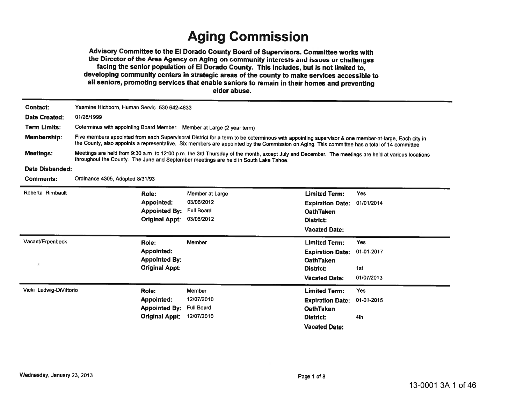## **Aging Commission**

Advisory Committee to the El Dorado County Board of Supervisors. Committee works with the Director of the Area Agency on Aging on community interests and issues or challenges facing the senior population of El Dorado County. This includes, but is not limited to, developing community centers in strategic areas of the county to make services accessible to all seniors, promoting services that enable seniors to remain in their homes and preventing elder abuse.

| <b>Contact:</b>         | Yasmine Hichborn, Human Servic 530 642-4833                                                                                                                                                                                                                                                        |                                           |                 |                         |            |  |  |  |
|-------------------------|----------------------------------------------------------------------------------------------------------------------------------------------------------------------------------------------------------------------------------------------------------------------------------------------------|-------------------------------------------|-----------------|-------------------------|------------|--|--|--|
| <b>Date Created:</b>    | 01/26/1999                                                                                                                                                                                                                                                                                         |                                           |                 |                         |            |  |  |  |
| Term Limits:            | Coterminus with appointing Board Member. Member at Large (2 year term)                                                                                                                                                                                                                             |                                           |                 |                         |            |  |  |  |
| <b>Membership:</b>      | Five members appointed from each Supervisoral District for a term to be coterminous with appointing supervisor & one member-at-large, Each city in<br>the County, also appoints a representative. Six members are appointed by the Commission on Aging. This committee has a total of 14 committee |                                           |                 |                         |            |  |  |  |
| <b>Meetings:</b>        | Meetings are held from 9:30 a.m. to 12:00 p.m. the 3rd Thursday of the month, except July and December. The meetings are held at various locations<br>throughout the County. The June and September meetings are held in South Lake Tahoe.                                                         |                                           |                 |                         |            |  |  |  |
| Date Disbanded:         |                                                                                                                                                                                                                                                                                                    |                                           |                 |                         |            |  |  |  |
| Comments:               | Ordinance 4305, Adopted 8/31/93                                                                                                                                                                                                                                                                    |                                           |                 |                         |            |  |  |  |
| Roberta Rimbault        | Role:                                                                                                                                                                                                                                                                                              |                                           | Member at Large | <b>Limited Term:</b>    | <b>Yes</b> |  |  |  |
|                         | Appointed:                                                                                                                                                                                                                                                                                         |                                           | 03/06/2012      | <b>Expiration Date:</b> | 01/01/2014 |  |  |  |
|                         |                                                                                                                                                                                                                                                                                                    | <b>Full Board</b><br><b>Appointed By:</b> |                 | <b>OathTaken</b>        |            |  |  |  |
|                         |                                                                                                                                                                                                                                                                                                    | <b>Original Appt:</b>                     | 03/06/2012      | District:               |            |  |  |  |
|                         |                                                                                                                                                                                                                                                                                                    |                                           |                 | <b>Vacated Date:</b>    |            |  |  |  |
| Vacant/Erpenbeck        | Role:                                                                                                                                                                                                                                                                                              | Member                                    |                 | <b>Limited Term:</b>    | <b>Yes</b> |  |  |  |
|                         | Appointed:                                                                                                                                                                                                                                                                                         |                                           |                 | <b>Expiration Date:</b> | 01-01-2017 |  |  |  |
| $\epsilon$              |                                                                                                                                                                                                                                                                                                    | <b>Appointed By:</b>                      |                 | <b>OathTaken</b>        |            |  |  |  |
|                         |                                                                                                                                                                                                                                                                                                    | <b>Original Appt:</b>                     |                 | <b>District:</b>        | 1st        |  |  |  |
|                         |                                                                                                                                                                                                                                                                                                    |                                           |                 | <b>Vacated Date:</b>    | 01/07/2013 |  |  |  |
| Vicki Ludwig-DiVittorio | Role:                                                                                                                                                                                                                                                                                              | Member                                    |                 | <b>Limited Term:</b>    | <b>Yes</b> |  |  |  |
|                         | <b>Appointed:</b>                                                                                                                                                                                                                                                                                  |                                           | 12/07/2010      | <b>Expiration Date:</b> | 01-01-2015 |  |  |  |
|                         |                                                                                                                                                                                                                                                                                                    | <b>Full Board</b><br><b>Appointed By:</b> |                 | <b>OathTaken</b>        |            |  |  |  |
|                         |                                                                                                                                                                                                                                                                                                    | <b>Original Appt:</b>                     | 12/07/2010      | <b>District:</b>        | 4th        |  |  |  |
|                         |                                                                                                                                                                                                                                                                                                    |                                           |                 | <b>Vacated Date:</b>    |            |  |  |  |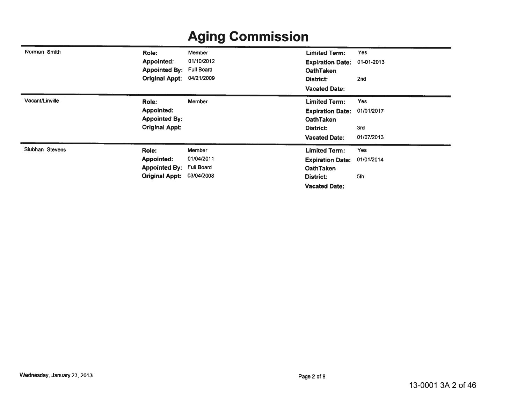| Norman Smith    | Role:                 | Member            | <b>Limited Term:</b>    | <b>Yes</b>      |
|-----------------|-----------------------|-------------------|-------------------------|-----------------|
|                 | Appointed:            | 01/10/2012        | <b>Expiration Date:</b> | 01-01-2013      |
|                 | <b>Appointed By:</b>  | <b>Full Board</b> | <b>OathTaken</b>        |                 |
|                 | <b>Original Appt:</b> | 04/21/2009        | District:               | 2 <sub>nd</sub> |
|                 |                       |                   | <b>Vacated Date:</b>    |                 |
| Vacant/Linville | Role:                 | Member            | <b>Limited Term:</b>    | Yes             |
|                 | <b>Appointed:</b>     |                   | <b>Expiration Date:</b> | 01/01/2017      |
|                 | <b>Appointed By:</b>  |                   | <b>OathTaken</b>        |                 |
|                 | <b>Original Appt:</b> |                   | District:               | 3rd             |
|                 |                       |                   | <b>Vacated Date:</b>    | 01/07/2013      |
| Siubhan Stevens | Role:                 | <b>Member</b>     | <b>Limited Term:</b>    | Yes             |
|                 | <b>Appointed:</b>     | 01/04/2011        | <b>Expiration Date:</b> | 01/01/2014      |
|                 | <b>Appointed By:</b>  | Full Board        | <b>OathTaken</b>        |                 |
|                 | <b>Original Appt:</b> | 03/04/2008        | District:               | 5th             |
|                 |                       |                   | <b>Vacated Date:</b>    |                 |

#### **Aging Commission**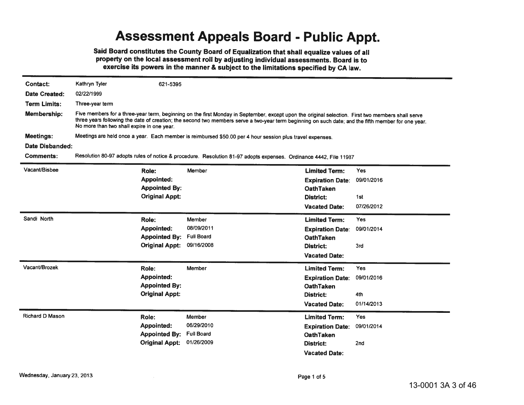#### **Assessment Appeals Board - Public Appt.**

Said Board constitutes the County Board of Equalization that shall equalize values of all property on the local assessment roll by adjusting individual assessments. Board is to exercise its powers in the manner & subject to the limitations specified by CA law.

| <b>Contact:</b>      | Kathryn Tyler                                                                                                                                                                                                                                                                                                                                          | 621-5395                                                                    |                                                                                                                   |                                                                                  |                                 |  |  |  |
|----------------------|--------------------------------------------------------------------------------------------------------------------------------------------------------------------------------------------------------------------------------------------------------------------------------------------------------------------------------------------------------|-----------------------------------------------------------------------------|-------------------------------------------------------------------------------------------------------------------|----------------------------------------------------------------------------------|---------------------------------|--|--|--|
| <b>Date Created:</b> | 02/22/1999                                                                                                                                                                                                                                                                                                                                             |                                                                             |                                                                                                                   |                                                                                  |                                 |  |  |  |
| <b>Term Limits:</b>  | Three-year term                                                                                                                                                                                                                                                                                                                                        |                                                                             |                                                                                                                   |                                                                                  |                                 |  |  |  |
| Membership:          | Five members for a three-year term, beginning on the first Monday in September, except upon the original selection. First two members shall serve<br>three years following the date of creation; the second two members serve a two-year term beginning on such date; and the fifth member for one year.<br>No more than two shall expire in one year. |                                                                             |                                                                                                                   |                                                                                  |                                 |  |  |  |
| <b>Meetings:</b>     | Meetings are held once a year. Each member is reimbursed \$50.00 per 4 hour session plus travel expenses.                                                                                                                                                                                                                                              |                                                                             |                                                                                                                   |                                                                                  |                                 |  |  |  |
| Date Disbanded:      |                                                                                                                                                                                                                                                                                                                                                        |                                                                             |                                                                                                                   |                                                                                  |                                 |  |  |  |
| Comments:            |                                                                                                                                                                                                                                                                                                                                                        |                                                                             | Resolution 80-97 adopts rules of notice & procedure. Resolution 81-97 adopts expenses. Ordinance 4442, File 11987 |                                                                                  |                                 |  |  |  |
| Vacant/Bisbee        |                                                                                                                                                                                                                                                                                                                                                        | Role:                                                                       | Member                                                                                                            | <b>Limited Term:</b>                                                             | <b>Yes</b>                      |  |  |  |
|                      |                                                                                                                                                                                                                                                                                                                                                        | <b>Appointed:</b><br><b>Appointed By:</b>                                   |                                                                                                                   | <b>Expiration Date:</b><br><b>OathTaken</b>                                      | 09/01/2016                      |  |  |  |
|                      |                                                                                                                                                                                                                                                                                                                                                        | <b>Original Appt:</b>                                                       |                                                                                                                   | District:                                                                        | 1st                             |  |  |  |
|                      |                                                                                                                                                                                                                                                                                                                                                        |                                                                             |                                                                                                                   | <b>Vacated Date:</b>                                                             | 07/26/2012                      |  |  |  |
| Sandi North          |                                                                                                                                                                                                                                                                                                                                                        | Role:<br><b>Appointed:</b><br><b>Appointed By:</b>                          | Member<br>08/09/2011<br><b>Full Board</b>                                                                         | <b>Limited Term:</b><br><b>Expiration Date:</b><br><b>OathTaken</b>              | Yes<br>09/01/2014               |  |  |  |
|                      |                                                                                                                                                                                                                                                                                                                                                        | <b>Original Appt:</b>                                                       | 09/16/2008                                                                                                        | District:<br><b>Vacated Date:</b>                                                | 3rd                             |  |  |  |
| Vacant/Brozek        |                                                                                                                                                                                                                                                                                                                                                        | Role:<br><b>Appointed:</b><br><b>Appointed By:</b><br><b>Original Appt:</b> | Member                                                                                                            | <b>Limited Term:</b><br><b>Expiration Date:</b><br><b>OathTaken</b><br>District: | <b>Yes</b><br>09/01/2016<br>4th |  |  |  |
|                      |                                                                                                                                                                                                                                                                                                                                                        |                                                                             |                                                                                                                   | <b>Vacated Date:</b>                                                             | 01/14/2013                      |  |  |  |
| Richard D Mason      |                                                                                                                                                                                                                                                                                                                                                        | Role:<br><b>Appointed:</b><br><b>Appointed By:</b>                          | Member<br>06/29/2010<br><b>Full Board</b>                                                                         | <b>Limited Term:</b><br><b>Expiration Date:</b><br><b>OathTaken</b>              | Yes<br>09/01/2014               |  |  |  |
|                      |                                                                                                                                                                                                                                                                                                                                                        | <b>Original Appt:</b>                                                       | 01/26/2009                                                                                                        | District:                                                                        | 2nd                             |  |  |  |

**Vacated Date:**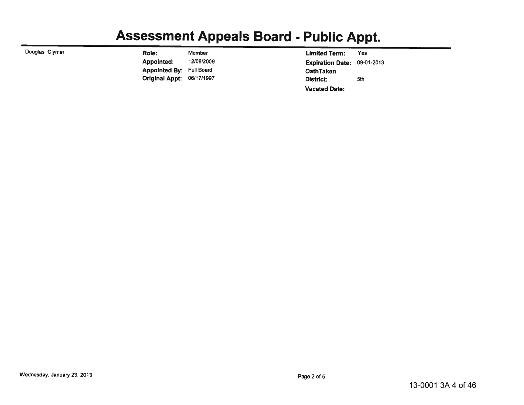# **Assessment Appeals Board - Public Appt.**

| Douglas Clymer | Role:                            | Member     |                  | <b>Limited Term:</b>               | Yes |
|----------------|----------------------------------|------------|------------------|------------------------------------|-----|
|                | Appointed:                       | 12/08/2009 |                  | <b>Expiration Date: 09-01-2013</b> |     |
|                | <b>Appointed By: Full Board</b>  |            | <b>OathTaken</b> |                                    |     |
|                | <b>Original Appt: 06/17/1997</b> |            | District:        |                                    | 5th |
|                |                                  |            |                  | <b>Vacated Date:</b>               |     |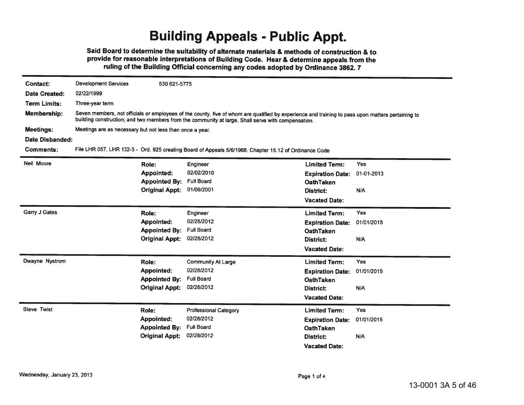## **Building Appeals - Public Appt.**

Said Board to determine the suitability of alternate materials & methods of construction & to provide for reasonable interpretations of Building Code. Hear & determine appeals from the ruling of the Building Official concerning any codes adopted by Ordinance 3862.7

| <b>Contact:</b>      | <b>Development Services</b>                              | 530 621-5775          |                                                                                                                                                                                                                                                         |                         |            |
|----------------------|----------------------------------------------------------|-----------------------|---------------------------------------------------------------------------------------------------------------------------------------------------------------------------------------------------------------------------------------------------------|-------------------------|------------|
| <b>Date Created:</b> | 02/22/1999                                               |                       |                                                                                                                                                                                                                                                         |                         |            |
| <b>Term Limits:</b>  | Three-year term                                          |                       |                                                                                                                                                                                                                                                         |                         |            |
| Membership:          |                                                          |                       | Seven members, not officials or employees of the county, five of whom are qualified by experience and training to pass upon matters pertaining to<br>building construction; and two members from the community at large. Shall serve with compensation. |                         |            |
| <b>Meetings:</b>     | Meetings are as necessary but not less than once a year. |                       |                                                                                                                                                                                                                                                         |                         |            |
| Date Disbanded:      |                                                          |                       |                                                                                                                                                                                                                                                         |                         |            |
| <b>Comments:</b>     |                                                          |                       | File LHR 057. LHR 132-3 - Ord. 925 creating Board of Appeals 5/6/1968. Chapter 15.12 of Ordinance Code                                                                                                                                                  |                         |            |
| Neil Moore           |                                                          | Role:                 | Engineer                                                                                                                                                                                                                                                | <b>Limited Term:</b>    | <b>Yes</b> |
|                      |                                                          | <b>Appointed:</b>     | 02/02/2010                                                                                                                                                                                                                                              | <b>Expiration Date:</b> | 01-01-2013 |
|                      |                                                          | <b>Appointed By:</b>  | <b>Full Board</b>                                                                                                                                                                                                                                       | <b>OathTaken</b>        |            |
|                      |                                                          | <b>Original Appt:</b> | 01/09/2001                                                                                                                                                                                                                                              | District:               | N/A        |
|                      |                                                          |                       |                                                                                                                                                                                                                                                         | <b>Vacated Date:</b>    |            |
| Garry J Gates        |                                                          | Role:                 | Engineer                                                                                                                                                                                                                                                | <b>Limited Term:</b>    | <b>Yes</b> |
|                      |                                                          | Appointed:            | 02/28/2012                                                                                                                                                                                                                                              | <b>Expiration Date:</b> | 01/01/2015 |
|                      |                                                          | <b>Appointed By:</b>  | <b>Full Board</b>                                                                                                                                                                                                                                       | <b>OathTaken</b>        |            |
|                      |                                                          | <b>Original Appt:</b> | 02/28/2012                                                                                                                                                                                                                                              | District:               | N/A        |
|                      |                                                          |                       |                                                                                                                                                                                                                                                         | <b>Vacated Date:</b>    |            |
| Dwayne Nystrom       |                                                          | Role:                 | <b>Community At Large</b>                                                                                                                                                                                                                               | <b>Limited Term:</b>    | <b>Yes</b> |
|                      |                                                          | <b>Appointed:</b>     | 02/28/2012                                                                                                                                                                                                                                              | <b>Expiration Date:</b> | 01/01/2015 |
|                      |                                                          | <b>Appointed By:</b>  | <b>Full Board</b>                                                                                                                                                                                                                                       | <b>OathTaken</b>        |            |
|                      |                                                          | <b>Original Appt:</b> | 02/28/2012                                                                                                                                                                                                                                              | District:               | N/A        |
|                      |                                                          |                       |                                                                                                                                                                                                                                                         | <b>Vacated Date:</b>    |            |
| <b>Steve Twist</b>   |                                                          | Role:                 | <b>Professional Category</b>                                                                                                                                                                                                                            | <b>Limited Term:</b>    | <b>Yes</b> |
|                      |                                                          | <b>Appointed:</b>     | 02/28/2012                                                                                                                                                                                                                                              | <b>Expiration Date:</b> | 01/01/2015 |
|                      |                                                          | <b>Appointed By:</b>  | <b>Full Board</b>                                                                                                                                                                                                                                       | <b>OathTaken</b>        |            |
|                      |                                                          | <b>Original Appt:</b> | 02/28/2012                                                                                                                                                                                                                                              | District:               | N/A        |
|                      |                                                          |                       |                                                                                                                                                                                                                                                         | <b>Vacated Date:</b>    |            |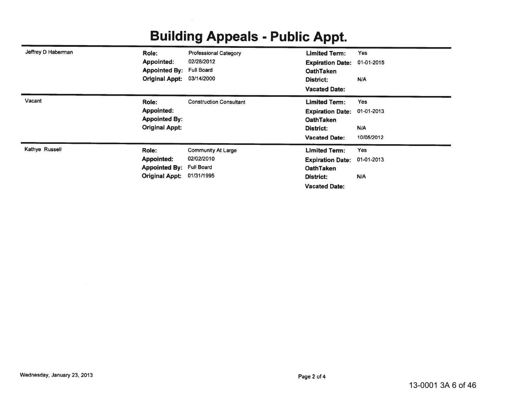| Jeffrey D Haberman | Role:                    | <b>Professional Category</b>   | <b>Limited Term:</b>    | <b>Yes</b> |
|--------------------|--------------------------|--------------------------------|-------------------------|------------|
|                    | <b>Appointed:</b>        | 02/28/2012                     | <b>Expiration Date:</b> | 01-01-2015 |
|                    | <b>Appointed By:</b>     | <b>Full Board</b>              | <b>OathTaken</b>        |            |
|                    | <b>Original Appt:</b>    | 03/14/2000                     | District:               | N/A        |
|                    |                          |                                | <b>Vacated Date:</b>    |            |
| Vacant             | Role:                    | <b>Construction Consultant</b> | <b>Limited Term:</b>    | <b>Yes</b> |
|                    | <b>Appointed:</b>        |                                | <b>Expiration Date:</b> | 01-01-2013 |
|                    | <b>Appointed By:</b>     |                                | <b>OathTaken</b>        |            |
|                    | <b>Original Appt:</b>    |                                | District:               | N/A        |
|                    |                          |                                | <b>Vacated Date:</b>    | 10/05/2012 |
| Kathye Russell     | Role:                    | <b>Community At Large</b>      | <b>Limited Term:</b>    | <b>Yes</b> |
|                    | <b>Appointed:</b>        | 02/02/2010                     | <b>Expiration Date:</b> | 01-01-2013 |
|                    | Appointed By: Full Board |                                | <b>OathTaken</b>        |            |
|                    | <b>Original Appt:</b>    | 01/31/1995                     | District:               | N/A        |
|                    |                          |                                | <b>Vacated Date:</b>    |            |

## **Building Appeals - Public Appt.**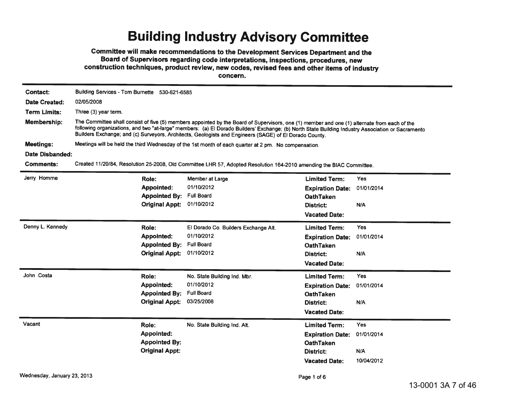#### **Building Industry Advisory Committee**

Committee will make recommendations to the Development Services Department and the Board of Supervisors regarding code interpretations, inspections, procedures, new construction techniques, product review, new codes, revised fees and other items of industry

concern.

| <b>Contact:</b>                                                                                                                                                                                                                                                                                                                                                                                                             | Building Services - Tom Burnette 530-621-6585 |  |  |  |  |  |  |
|-----------------------------------------------------------------------------------------------------------------------------------------------------------------------------------------------------------------------------------------------------------------------------------------------------------------------------------------------------------------------------------------------------------------------------|-----------------------------------------------|--|--|--|--|--|--|
| <b>Date Created:</b><br>02/05/2008                                                                                                                                                                                                                                                                                                                                                                                          |                                               |  |  |  |  |  |  |
| <b>Term Limits:</b><br>Three (3) year term.                                                                                                                                                                                                                                                                                                                                                                                 |                                               |  |  |  |  |  |  |
| Membership:<br>The Committee shall consist of five (5) members appointed by the Board of Supervisors, one (1) member and one (1) alternate from each of the<br>following organizations, and two "at-large" members: (a) El Dorado Builders' Exchange; (b) North State Building Industry Association or Sacramento<br>Builders Exchange; and (c) Surveyors, Architects, Geologists and Engineers (SAGE) of El Dorado County. |                                               |  |  |  |  |  |  |
| <b>Meetings:</b><br>Meetings will be held the third Wednesday of the 1st month of each quarter at 2 pm. No compensation.                                                                                                                                                                                                                                                                                                    |                                               |  |  |  |  |  |  |
| Date Disbanded:                                                                                                                                                                                                                                                                                                                                                                                                             |                                               |  |  |  |  |  |  |
| <b>Comments:</b><br>Created 11/20/84, Resolution 25-2008, Old Committee LHR 57, Adopted Resolution 164-2010 amending the BIAC Committee.                                                                                                                                                                                                                                                                                    |                                               |  |  |  |  |  |  |
| Jerry Homme<br><b>Limited Term:</b><br>Yes<br>Role:<br>Member at Large                                                                                                                                                                                                                                                                                                                                                      |                                               |  |  |  |  |  |  |
| 01/10/2012<br><b>Appointed:</b><br>01/01/2014<br><b>Expiration Date:</b>                                                                                                                                                                                                                                                                                                                                                    |                                               |  |  |  |  |  |  |
| <b>Full Board</b><br><b>Appointed By:</b><br><b>OathTaken</b>                                                                                                                                                                                                                                                                                                                                                               |                                               |  |  |  |  |  |  |
| 01/10/2012<br><b>Original Appt:</b><br>N/A<br>District:                                                                                                                                                                                                                                                                                                                                                                     |                                               |  |  |  |  |  |  |
| <b>Vacated Date:</b>                                                                                                                                                                                                                                                                                                                                                                                                        |                                               |  |  |  |  |  |  |
| Denny L. Kennedy<br><b>Yes</b><br>Role:<br>El Dorado Co. Builders Exchange Alt.<br><b>Limited Term:</b>                                                                                                                                                                                                                                                                                                                     |                                               |  |  |  |  |  |  |
| 01/10/2012<br>Appointed:<br>01/01/2014<br><b>Expiration Date:</b>                                                                                                                                                                                                                                                                                                                                                           |                                               |  |  |  |  |  |  |
| <b>Full Board</b><br><b>Appointed By:</b><br><b>OathTaken</b>                                                                                                                                                                                                                                                                                                                                                               |                                               |  |  |  |  |  |  |
| 01/10/2012<br><b>Original Appt:</b><br>N/A<br>District:                                                                                                                                                                                                                                                                                                                                                                     |                                               |  |  |  |  |  |  |
| <b>Vacated Date:</b>                                                                                                                                                                                                                                                                                                                                                                                                        |                                               |  |  |  |  |  |  |
| John Costa<br><b>Yes</b><br>Role:<br>No. State Building Ind. Mbr.<br><b>Limited Term:</b>                                                                                                                                                                                                                                                                                                                                   |                                               |  |  |  |  |  |  |
| 01/10/2012<br><b>Appointed:</b><br>01/01/2014<br><b>Expiration Date:</b>                                                                                                                                                                                                                                                                                                                                                    |                                               |  |  |  |  |  |  |
| <b>Full Board</b><br><b>Appointed By:</b><br><b>OathTaken</b>                                                                                                                                                                                                                                                                                                                                                               |                                               |  |  |  |  |  |  |
| <b>Original Appt:</b><br>03/25/2008<br>N/A<br>District:                                                                                                                                                                                                                                                                                                                                                                     |                                               |  |  |  |  |  |  |
| <b>Vacated Date:</b>                                                                                                                                                                                                                                                                                                                                                                                                        |                                               |  |  |  |  |  |  |
| Vacant<br>Role:<br><b>Limited Term:</b><br>Yes<br>No. State Building Ind. Alt.                                                                                                                                                                                                                                                                                                                                              |                                               |  |  |  |  |  |  |
| Appointed:<br>01/01/2014<br><b>Expiration Date:</b>                                                                                                                                                                                                                                                                                                                                                                         |                                               |  |  |  |  |  |  |
| <b>Appointed By:</b><br><b>OathTaken</b>                                                                                                                                                                                                                                                                                                                                                                                    |                                               |  |  |  |  |  |  |
| <b>Original Appt:</b><br>N/A<br>District:                                                                                                                                                                                                                                                                                                                                                                                   |                                               |  |  |  |  |  |  |
| 10/04/2012<br><b>Vacated Date:</b>                                                                                                                                                                                                                                                                                                                                                                                          |                                               |  |  |  |  |  |  |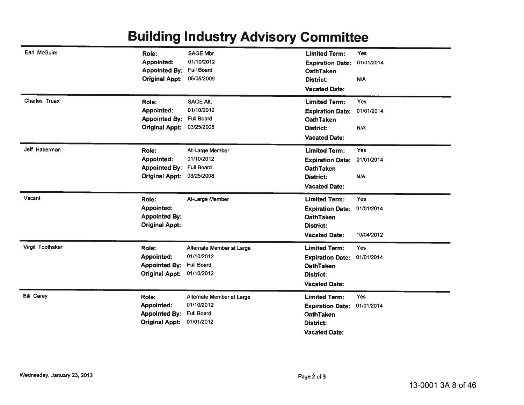## **Building Industry Advisory Committee**

| Earl McGuire         | Role:                                         | <b>SAGE Mbr.</b>                        | <b>Limited Term:</b>                 | Yes        |
|----------------------|-----------------------------------------------|-----------------------------------------|--------------------------------------|------------|
|                      | <b>Appointed:</b>                             | 01/10/2012                              | <b>Expiration Date:</b>              | 01/01/2014 |
|                      | <b>Appointed By:</b>                          | Full Board                              | <b>OathTaken</b>                     |            |
|                      | <b>Original Appt:</b>                         | 05/05/2009                              | <b>District:</b>                     | N/A        |
|                      |                                               |                                         | <b>Vacated Date:</b>                 |            |
| <b>Charles Truax</b> | Role:                                         | <b>SAGE Alt.</b>                        | <b>Limited Term:</b>                 | Yes        |
|                      | <b>Appointed:</b>                             | 01/10/2012                              | <b>Expiration Date:</b>              | 01/01/2014 |
|                      | <b>Appointed By:</b>                          | <b>Full Board</b>                       | <b>OathTaken</b>                     |            |
|                      | <b>Original Appt:</b>                         | 03/25/2008                              | District:                            | N/A        |
|                      |                                               |                                         | <b>Vacated Date:</b>                 |            |
| Jeff Haberman        | Role:                                         | At-Large Member                         | <b>Limited Term:</b>                 | Yes        |
|                      | <b>Appointed:</b>                             | 01/10/2012                              | <b>Expiration Date:</b>              | 01/01/2014 |
|                      | <b>Appointed By:</b>                          | <b>Full Board</b>                       | <b>OathTaken</b>                     |            |
|                      | <b>Original Appt:</b>                         | 03/25/2008                              | District:                            | N/A        |
|                      |                                               |                                         | <b>Vacated Date:</b>                 |            |
|                      |                                               |                                         |                                      |            |
| Vacant               | Role:                                         | At-Large Member                         | <b>Limited Term:</b>                 | Yes        |
|                      | <b>Appointed:</b>                             |                                         | <b>Expiration Date:</b>              | 01/01/2014 |
|                      | <b>Appointed By:</b>                          |                                         | <b>OathTaken</b>                     |            |
|                      | <b>Original Appt:</b>                         |                                         | District:                            |            |
|                      |                                               |                                         | <b>Vacated Date:</b>                 | 10/04/2012 |
| Virgil Toothaker     | Role:                                         | Alternate Member at Large               | <b>Limited Term:</b>                 | <b>Yes</b> |
|                      | Appointed:                                    | 01/10/2012                              | <b>Expiration Date:</b>              | 01/01/2014 |
|                      | <b>Appointed By:</b>                          | <b>Full Board</b>                       | <b>OathTaken</b>                     |            |
|                      | <b>Original Appt:</b>                         | 01/10/2012                              | District:                            |            |
|                      |                                               |                                         | <b>Vacated Date:</b>                 |            |
| <b>Bill Carey</b>    | Role:                                         |                                         | <b>Limited Term:</b>                 | Yes        |
|                      |                                               | Alternate Member at Large<br>01/10/2012 |                                      |            |
|                      | Appointed:                                    | <b>Full Board</b>                       | <b>Expiration Date:</b>              | 01/01/2014 |
|                      | <b>Appointed By:</b><br><b>Original Appt:</b> | 01/01/2012                              | <b>OathTaken</b><br><b>District:</b> |            |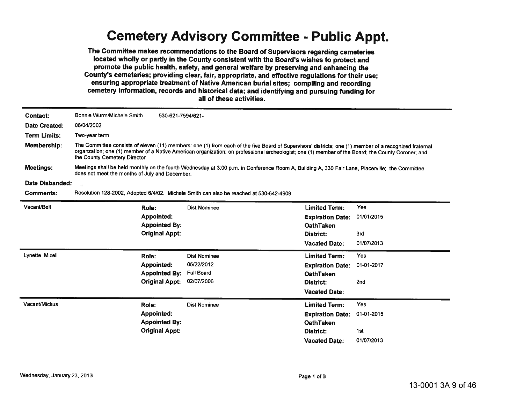#### **Cemetery Advisory Committee - Public Appt.**

The Committee makes recommendations to the Board of Supervisors regarding cemeteries located wholly or partly in the County consistent with the Board's wishes to protect and promote the public health, safety, and general welfare by preserving and enhancing the County's cemeteries; providing clear, fair, appropriate, and effective regulations for their use; ensuring appropriate treatment of Native American burial sites; compiling and recording cemetery information, records and historical data; and identifying and pursuing funding for all of these activities.

| <b>Contact:</b>       | Bonnie Wurm/Michele Smith                                                                                                                                                                                                                                                                                                                    | 530-621-7594/621-     |                                                                                         |                         |                 |  |
|-----------------------|----------------------------------------------------------------------------------------------------------------------------------------------------------------------------------------------------------------------------------------------------------------------------------------------------------------------------------------------|-----------------------|-----------------------------------------------------------------------------------------|-------------------------|-----------------|--|
| Date Created:         | 06/04/2002                                                                                                                                                                                                                                                                                                                                   |                       |                                                                                         |                         |                 |  |
| <b>Term Limits:</b>   | Two-year term                                                                                                                                                                                                                                                                                                                                |                       |                                                                                         |                         |                 |  |
| Membership:           | The Committee consists of eleven (11) members: one (1) from each of the five Board of Supervisors' districts; one (1) member of a recognized fraternal<br>organzation; one (1) member of a Native American organization; on professional archeologist; one (1) member of the Board; the County Coroner; and<br>the County Cemetery Director. |                       |                                                                                         |                         |                 |  |
| <b>Meetings:</b>      | Meetings shall be held monthly on the fourth Wednesday at 3:00 p.m. in Conference Room A, Building A, 330 Fair Lane, Placerville; the Committee<br>does not meet the months of July and December.                                                                                                                                            |                       |                                                                                         |                         |                 |  |
| Date Disbanded:       |                                                                                                                                                                                                                                                                                                                                              |                       |                                                                                         |                         |                 |  |
| <b>Comments:</b>      |                                                                                                                                                                                                                                                                                                                                              |                       | Resolution 128-2002, Adopted 6/4/02. Michele Smith can also be reached at 530-642-4909. |                         |                 |  |
| Vacant/Belt           |                                                                                                                                                                                                                                                                                                                                              | Role:                 | <b>Dist Nominee</b>                                                                     | <b>Limited Term:</b>    | Yes             |  |
|                       |                                                                                                                                                                                                                                                                                                                                              | <b>Appointed:</b>     |                                                                                         | <b>Expiration Date:</b> | 01/01/2015      |  |
|                       |                                                                                                                                                                                                                                                                                                                                              | <b>Appointed By:</b>  |                                                                                         | <b>OathTaken</b>        |                 |  |
|                       |                                                                                                                                                                                                                                                                                                                                              | <b>Original Appt:</b> |                                                                                         | District:               | 3rd             |  |
|                       |                                                                                                                                                                                                                                                                                                                                              |                       |                                                                                         | <b>Vacated Date:</b>    | 01/07/2013      |  |
| <b>Lynette Mizell</b> |                                                                                                                                                                                                                                                                                                                                              | Role:                 | <b>Dist Nominee</b>                                                                     | <b>Limited Term:</b>    | <b>Yes</b>      |  |
|                       |                                                                                                                                                                                                                                                                                                                                              | <b>Appointed:</b>     | 05/22/2012                                                                              | <b>Expiration Date:</b> | 01-01-2017      |  |
|                       |                                                                                                                                                                                                                                                                                                                                              | <b>Appointed By:</b>  | <b>Full Board</b>                                                                       | <b>OathTaken</b>        |                 |  |
|                       |                                                                                                                                                                                                                                                                                                                                              | <b>Original Appt:</b> | 02/07/2006                                                                              | District:               | 2 <sub>nd</sub> |  |
|                       |                                                                                                                                                                                                                                                                                                                                              |                       |                                                                                         | <b>Vacated Date:</b>    |                 |  |
| Vacant/Mickus         |                                                                                                                                                                                                                                                                                                                                              | Role:                 | <b>Dist Nominee</b>                                                                     | <b>Limited Term:</b>    | <b>Yes</b>      |  |
|                       |                                                                                                                                                                                                                                                                                                                                              | <b>Appointed:</b>     |                                                                                         | <b>Expiration Date:</b> | 01-01-2015      |  |
|                       |                                                                                                                                                                                                                                                                                                                                              | <b>Appointed By:</b>  |                                                                                         | <b>OathTaken</b>        |                 |  |
|                       |                                                                                                                                                                                                                                                                                                                                              | <b>Original Appt:</b> |                                                                                         | District:               | 1st             |  |
|                       |                                                                                                                                                                                                                                                                                                                                              |                       |                                                                                         | <b>Vacated Date:</b>    | 01/07/2013      |  |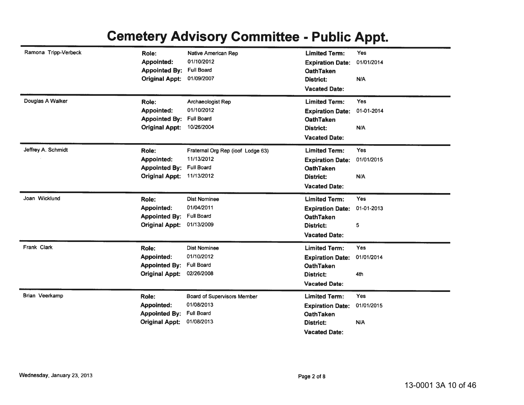## **Cemetery Advisory Committee - Public Appt.**

| Ramona Tripp-Verbeck | Role:<br><b>Appointed:</b><br><b>Appointed By:</b><br><b>Original Appt:</b> | <b>Native American Rep</b><br>01/10/2012<br><b>Full Board</b><br>01/09/2007         | <b>Limited Term:</b><br><b>Expiration Date:</b><br><b>OathTaken</b><br>District:<br><b>Vacated Date:</b>        | Yes<br>01/01/2014<br>N/A        |
|----------------------|-----------------------------------------------------------------------------|-------------------------------------------------------------------------------------|-----------------------------------------------------------------------------------------------------------------|---------------------------------|
| Douglas A Walker     | Role:<br>Appointed:<br><b>Appointed By:</b><br><b>Original Appt:</b>        | Archaeologist Rep<br>01/10/2012<br><b>Full Board</b><br>10/26/2004                  | <b>Limited Term:</b><br><b>Expiration Date:</b><br><b>OathTaken</b><br><b>District:</b><br><b>Vacated Date:</b> | <b>Yes</b><br>01-01-2014<br>N/A |
| Jeffrey A. Schmidt   | Role:<br>Appointed:<br><b>Appointed By:</b><br><b>Original Appt:</b>        | Fraternal Org Rep (ioof Lodge 63)<br>11/13/2012<br><b>Full Board</b><br>11/13/2012  | <b>Limited Term:</b><br><b>Expiration Date:</b><br><b>OathTaken</b><br><b>District:</b><br><b>Vacated Date:</b> | Yes<br>01/01/2015<br>N/A        |
| Joan Wicklund        | Role:<br>Appointed:<br><b>Appointed By:</b><br><b>Original Appt:</b>        | <b>Dist Nominee</b><br>01/04/2011<br><b>Full Board</b><br>01/13/2009                | <b>Limited Term:</b><br><b>Expiration Date:</b><br><b>OathTaken</b><br>District:<br><b>Vacated Date:</b>        | Yes<br>01-01-2013<br>5          |
| Frank Clark          | Role:<br><b>Appointed:</b><br><b>Appointed By:</b><br><b>Original Appt:</b> | <b>Dist Nominee</b><br>01/10/2012<br><b>Full Board</b><br>02/26/2008                | <b>Limited Term:</b><br><b>Expiration Date:</b><br><b>OathTaken</b><br>District:<br><b>Vacated Date:</b>        | Yes<br>01/01/2014<br>4th        |
| Brian Veerkamp       | Role:<br>Appointed:<br><b>Appointed By:</b><br><b>Original Appt:</b>        | <b>Board of Supervisors Member</b><br>01/08/2013<br><b>Full Board</b><br>01/08/2013 | <b>Limited Term:</b><br><b>Expiration Date:</b><br><b>OathTaken</b><br>District:<br><b>Vacated Date:</b>        | Yes<br>01/01/2015<br>N/A        |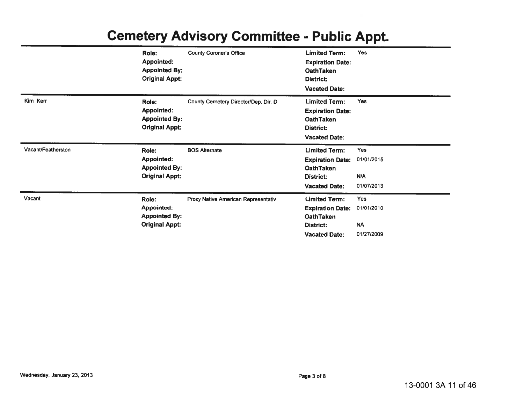|                    | Role:<br><b>Appointed:</b>                                                  | <b>County Coroner's Office</b>       | <b>Limited Term:</b><br><b>Expiration Date:</b>                                                          | <b>Yes</b>                                          |
|--------------------|-----------------------------------------------------------------------------|--------------------------------------|----------------------------------------------------------------------------------------------------------|-----------------------------------------------------|
|                    | <b>Appointed By:</b><br><b>Original Appt:</b>                               |                                      | <b>OathTaken</b><br>District:<br><b>Vacated Date:</b>                                                    |                                                     |
| Kim Kerr           | Role:<br><b>Appointed:</b><br><b>Appointed By:</b><br><b>Original Appt:</b> | County Cemetery Director/Dep. Dir. D | <b>Limited Term:</b><br><b>Expiration Date:</b><br><b>OathTaken</b><br>District:<br><b>Vacated Date:</b> | <b>Yes</b>                                          |
| Vacant/Featherston | Role:<br><b>Appointed:</b><br><b>Appointed By:</b><br><b>Original Appt:</b> | <b>BOS Alternate</b>                 | <b>Limited Term:</b><br><b>Expiration Date:</b><br><b>OathTaken</b><br>District:<br><b>Vacated Date:</b> | <b>Yes</b><br>01/01/2015<br>N/A<br>01/07/2013       |
| Vacant             | Role:<br><b>Appointed:</b><br><b>Appointed By:</b><br><b>Original Appt:</b> | Proxy Native American Representativ  | <b>Limited Term:</b><br><b>Expiration Date:</b><br>OathTaken<br>District:<br><b>Vacated Date:</b>        | <b>Yes</b><br>01/01/2010<br><b>NA</b><br>01/27/2009 |

# **Cemetery Advisory Committee - Public Appt.**

Ē.

à.

 $\blacksquare$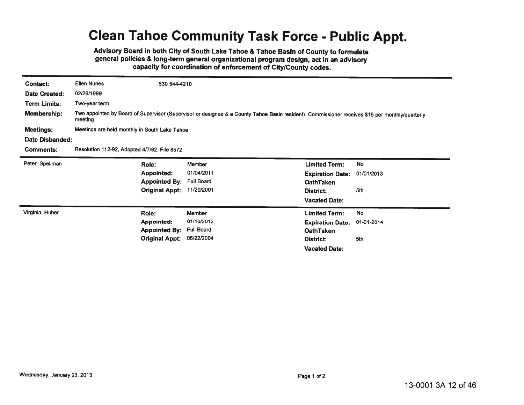#### **Clean Tahoe Community Task Force - Public Appt.**

Advisory Board in both City of South Lake Tahoe & Tahoe Basin of County to formulate general policies & long-term general organizational program design, act in an advisory capacity for coordination of enforcement of City/County codes.

| Contact:            | <b>Ellen Nunes</b>                                                                                                                                         | 530 544-4210      |                         |            |  |  |  |
|---------------------|------------------------------------------------------------------------------------------------------------------------------------------------------------|-------------------|-------------------------|------------|--|--|--|
| Date Created:       | 02/26/1999                                                                                                                                                 |                   |                         |            |  |  |  |
| <b>Term Limits:</b> | Two-year term                                                                                                                                              |                   |                         |            |  |  |  |
| <b>Membership:</b>  | Two appointed by Board of Supervisor (Supervisor or designee & a County Tahoe Basin resident) Commissioner receives \$15 per monthly/quarterly<br>meeting. |                   |                         |            |  |  |  |
| <b>Meetings:</b>    | Meetings are held monthly in South Lake Tahoe.                                                                                                             |                   |                         |            |  |  |  |
| Date Disbanded:     |                                                                                                                                                            |                   |                         |            |  |  |  |
| <b>Comments:</b>    | Resolution 112-92, Adopted 4/7/92, File 8572                                                                                                               |                   |                         |            |  |  |  |
| Peter Spellman      | Role:                                                                                                                                                      | Member            | <b>Limited Term:</b>    | No         |  |  |  |
|                     | <b>Appointed:</b>                                                                                                                                          | 01/04/2011        | <b>Expiration Date:</b> | 01/01/2013 |  |  |  |
|                     | <b>Appointed By:</b>                                                                                                                                       | <b>Full Board</b> | <b>OathTaken</b>        |            |  |  |  |
|                     | <b>Original Appt:</b>                                                                                                                                      | 11/20/2001        | District:               | 5th        |  |  |  |
|                     |                                                                                                                                                            |                   | <b>Vacated Date:</b>    |            |  |  |  |
| Virginia Huber      | Role:                                                                                                                                                      | <b>Member</b>     | <b>Limited Term:</b>    | No         |  |  |  |
|                     | <b>Appointed:</b>                                                                                                                                          | 01/10/2012        | <b>Expiration Date:</b> | 01-01-2014 |  |  |  |
|                     | <b>Appointed By:</b>                                                                                                                                       | <b>Full Board</b> | <b>OathTaken</b>        |            |  |  |  |
|                     | <b>Original Appt:</b>                                                                                                                                      | 06/22/2004        | District:               | 5th        |  |  |  |
|                     |                                                                                                                                                            |                   | <b>Vacated Date:</b>    |            |  |  |  |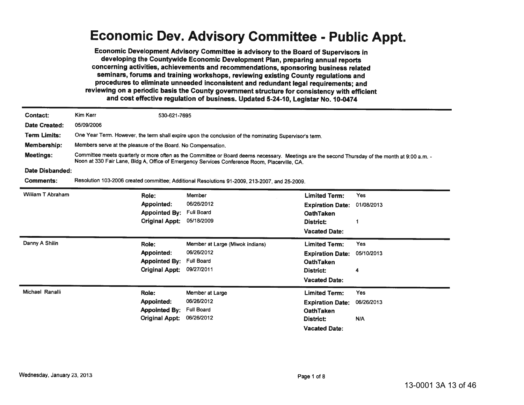#### **Economic Dev. Advisory Committee - Public Appt.**

Economic Development Advisory Committee is advisory to the Board of Supervisors in developing the Countywide Economic Development Plan, preparing annual reports concerning activities, achievements and recommendations, sponsoring business related seminars, forums and training workshops, reviewing existing County regulations and procedures to eliminate unneeded inconsistent and redundant legal requirements; and reviewing on a periodic basis the County government structure for consistency with efficient and cost effective regulation of business. Updated 5-24-10, Legistar No. 10-0474

| <b>Contact:</b>     | <b>Kim Kerr</b>                                                                                                                                                                                                                                  | 530-621-7695          |                                                                                               |                         |            |  |
|---------------------|--------------------------------------------------------------------------------------------------------------------------------------------------------------------------------------------------------------------------------------------------|-----------------------|-----------------------------------------------------------------------------------------------|-------------------------|------------|--|
| Date Created:       | 05/09/2006                                                                                                                                                                                                                                       |                       |                                                                                               |                         |            |  |
| <b>Term Limits:</b> | One Year Term. However, the term shall expire upon the conclusion of the nominating Supervisor's term.                                                                                                                                           |                       |                                                                                               |                         |            |  |
| Membership:         | Members serve at the pleasure of the Board. No Compensation.                                                                                                                                                                                     |                       |                                                                                               |                         |            |  |
| <b>Meetings:</b>    | Committee meets quarterly or more often as the Committee or Board deems necessary. Meetings are the second Thursday of the month at 9:00 a.m. -<br>Noon at 330 Fair Lane, Bldg A, Office of Emergency Services Conference Room, Placerville, CA. |                       |                                                                                               |                         |            |  |
| Date Disbanded:     |                                                                                                                                                                                                                                                  |                       |                                                                                               |                         |            |  |
| <b>Comments:</b>    |                                                                                                                                                                                                                                                  |                       | Resolution 103-2006 created committee; Additional Resolutions 91-2009, 213-2007, and 25-2009. |                         |            |  |
| William T Abraham   |                                                                                                                                                                                                                                                  | Role:                 | Member                                                                                        | <b>Limited Term:</b>    | <b>Yes</b> |  |
|                     |                                                                                                                                                                                                                                                  | <b>Appointed:</b>     | 06/26/2012                                                                                    | <b>Expiration Date:</b> | 01/08/2013 |  |
|                     |                                                                                                                                                                                                                                                  | <b>Appointed By:</b>  | <b>Full Board</b>                                                                             | <b>OathTaken</b>        |            |  |
|                     |                                                                                                                                                                                                                                                  | <b>Original Appt:</b> | 05/18/2009                                                                                    | District:               |            |  |
|                     |                                                                                                                                                                                                                                                  |                       |                                                                                               | <b>Vacated Date:</b>    |            |  |
| Danny A Shilin      |                                                                                                                                                                                                                                                  | Role:                 | Member at Large (Miwok Indians)                                                               | <b>Limited Term:</b>    | <b>Yes</b> |  |
|                     |                                                                                                                                                                                                                                                  | Appointed:            | 06/26/2012                                                                                    | <b>Expiration Date:</b> | 05/10/2013 |  |
|                     |                                                                                                                                                                                                                                                  | <b>Appointed By:</b>  | <b>Full Board</b>                                                                             | <b>OathTaken</b>        |            |  |
|                     |                                                                                                                                                                                                                                                  | <b>Original Appt:</b> | 09/27/2011                                                                                    | District:               | 4          |  |
|                     |                                                                                                                                                                                                                                                  |                       |                                                                                               | <b>Vacated Date:</b>    |            |  |
| Michael Ranalli     |                                                                                                                                                                                                                                                  | Role:                 | Member at Large                                                                               | <b>Limited Term:</b>    | Yes        |  |
|                     |                                                                                                                                                                                                                                                  | Appointed:            | 06/26/2012                                                                                    | <b>Expiration Date:</b> | 06/26/2013 |  |
|                     |                                                                                                                                                                                                                                                  | <b>Appointed By:</b>  | <b>Full Board</b>                                                                             | <b>OathTaken</b>        |            |  |
|                     |                                                                                                                                                                                                                                                  | <b>Original Appt:</b> | 06/26/2012                                                                                    | District:               | N/A        |  |
|                     |                                                                                                                                                                                                                                                  |                       |                                                                                               | <b>Vacated Date:</b>    |            |  |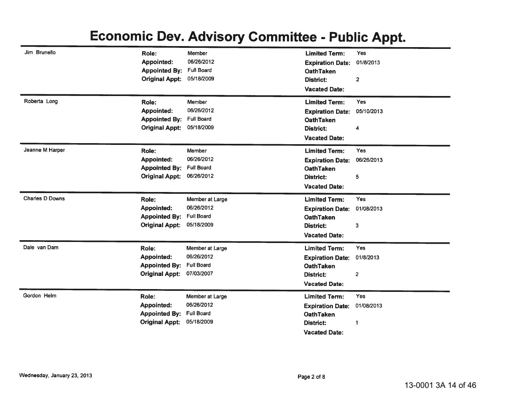## **Economic Dev. Advisory Committee - Public Appt.**

| Jim Brunello           | Role:                 | Member            | <b>Limited Term:</b>                        | Yes                     |
|------------------------|-----------------------|-------------------|---------------------------------------------|-------------------------|
|                        | Appointed:            | 06/26/2012        | <b>Expiration Date:</b>                     | 01/8/2013               |
|                        | <b>Appointed By:</b>  | <b>Full Board</b> | <b>OathTaken</b>                            |                         |
|                        | <b>Original Appt:</b> | 05/18/2009        | <b>District:</b>                            | $\overline{\mathbf{c}}$ |
|                        |                       |                   | <b>Vacated Date:</b>                        |                         |
| Roberta Long           | Role:                 | Member            | <b>Limited Term:</b>                        | <b>Yes</b>              |
|                        | Appointed:            | 06/26/2012        | <b>Expiration Date:</b>                     | 05/10/2013              |
|                        | <b>Appointed By:</b>  | <b>Full Board</b> | <b>OathTaken</b>                            |                         |
|                        | <b>Original Appt:</b> | 05/18/2009        | <b>District:</b>                            | 4                       |
|                        |                       |                   | <b>Vacated Date:</b>                        |                         |
| Jeanne M Harper        | Role:                 | Member            | <b>Limited Term:</b>                        | Yes                     |
|                        | Appointed:            | 06/26/2012        | <b>Expiration Date:</b>                     | 06/26/2013              |
|                        | <b>Appointed By:</b>  | <b>Full Board</b> | <b>OathTaken</b>                            |                         |
|                        | <b>Original Appt:</b> | 06/26/2012        | District:                                   | 5                       |
|                        |                       |                   | <b>Vacated Date:</b>                        |                         |
|                        |                       |                   |                                             |                         |
| <b>Charles D Downs</b> | Role:                 | Member at Large   | <b>Limited Term:</b>                        | Yes                     |
|                        | Appointed:            | 06/26/2012        |                                             | 01/08/2013              |
|                        | <b>Appointed By:</b>  | <b>Full Board</b> | <b>Expiration Date:</b><br><b>OathTaken</b> |                         |
|                        | <b>Original Appt:</b> | 05/18/2009        | <b>District:</b>                            | 3                       |
|                        |                       |                   | <b>Vacated Date:</b>                        |                         |
| Dale van Dam           | Role:                 | Member at Large   | <b>Limited Term:</b>                        | Yes                     |
|                        | <b>Appointed:</b>     | 06/26/2012        | <b>Expiration Date:</b>                     | 01/8/2013               |
|                        | <b>Appointed By:</b>  | <b>Full Board</b> | <b>OathTaken</b>                            |                         |
|                        | <b>Original Appt:</b> | 07/03/2007        | District:                                   | $\overline{\mathbf{2}}$ |
|                        |                       |                   | <b>Vacated Date:</b>                        |                         |
| Gordon Helm            | Role:                 | Member at Large   | <b>Limited Term:</b>                        | Yes                     |
|                        | <b>Appointed:</b>     | 06/26/2012        |                                             | 01/08/2013              |
|                        | <b>Appointed By:</b>  | <b>Full Board</b> | <b>Expiration Date:</b><br><b>OathTaken</b> |                         |
|                        | <b>Original Appt:</b> | 05/18/2009        | <b>District:</b>                            | 1                       |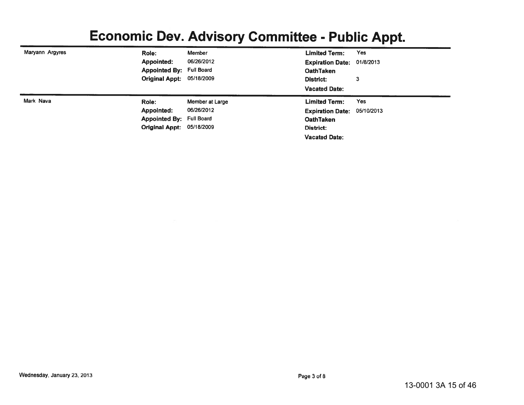## **Economic Dev. Advisory Committee - Public Appt.**

| Maryann Argyres<br>Yes<br>Member<br>Role:<br><b>Limited Term:</b><br>06/26/2012<br><b>Appointed:</b><br><b>Expiration Date: 01/8/2013</b><br><b>Appointed By: Full Board</b><br><b>OathTaken</b><br>Original Appt: 05/18/2009<br>3<br>District:<br><b>Vacated Date:</b><br>Mark Nava<br>Yes<br><b>Limited Term:</b><br>Role:<br>Member at Large<br>06/26/2012<br>Appointed:<br>Expiration Date: 05/10/2013<br><b>Appointed By: Full Board</b><br><b>OathTaken</b><br><b>Original Appt: 05/18/2009</b><br>District:<br><b>Vacated Date:</b> |  |  |  |
|--------------------------------------------------------------------------------------------------------------------------------------------------------------------------------------------------------------------------------------------------------------------------------------------------------------------------------------------------------------------------------------------------------------------------------------------------------------------------------------------------------------------------------------------|--|--|--|
|                                                                                                                                                                                                                                                                                                                                                                                                                                                                                                                                            |  |  |  |
|                                                                                                                                                                                                                                                                                                                                                                                                                                                                                                                                            |  |  |  |
|                                                                                                                                                                                                                                                                                                                                                                                                                                                                                                                                            |  |  |  |
|                                                                                                                                                                                                                                                                                                                                                                                                                                                                                                                                            |  |  |  |
|                                                                                                                                                                                                                                                                                                                                                                                                                                                                                                                                            |  |  |  |
|                                                                                                                                                                                                                                                                                                                                                                                                                                                                                                                                            |  |  |  |
|                                                                                                                                                                                                                                                                                                                                                                                                                                                                                                                                            |  |  |  |
|                                                                                                                                                                                                                                                                                                                                                                                                                                                                                                                                            |  |  |  |
|                                                                                                                                                                                                                                                                                                                                                                                                                                                                                                                                            |  |  |  |
|                                                                                                                                                                                                                                                                                                                                                                                                                                                                                                                                            |  |  |  |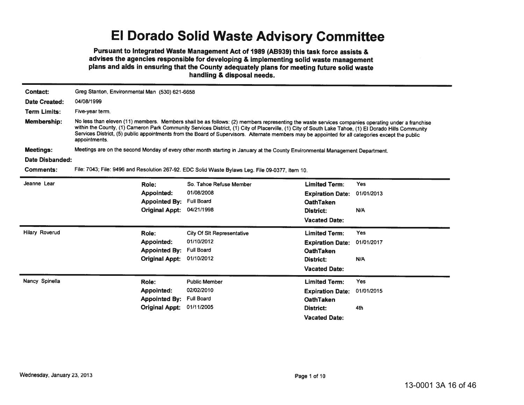## El Dorado Solid Waste Advisory Committee

Pursuant to Integrated Waste Management Act of 1989 (AB939) this task force assists & advises the agencies responsible for developing & implementing solid waste management plans and aids in ensuring that the County adequately plans for meeting future solid waste handling & disposal needs.

| <b>Contact:</b>       |                                                                                                                                                                                                                                                                                                                                                                                                                                                                                 | Greg Stanton, Environmental Man (530) 621-6658 |                         |            |  |  |
|-----------------------|---------------------------------------------------------------------------------------------------------------------------------------------------------------------------------------------------------------------------------------------------------------------------------------------------------------------------------------------------------------------------------------------------------------------------------------------------------------------------------|------------------------------------------------|-------------------------|------------|--|--|
| Date Created:         | 04/08/1999                                                                                                                                                                                                                                                                                                                                                                                                                                                                      |                                                |                         |            |  |  |
| <b>Term Limits:</b>   | Five-year term.                                                                                                                                                                                                                                                                                                                                                                                                                                                                 |                                                |                         |            |  |  |
| Membership:           | No less than eleven (11) members. Members shall be as follows: (2) members representing the waste services companies operating under a franchise<br>within the County, (1) Cameron Park Community Services District, (1) City of Placerville, (1) City of South Lake Tahoe, (1) El Dorado Hills Community<br>Services District, (5) public appointments from the Board of Supervisors. Alternate members may be appointed for all categories except the public<br>appointments. |                                                |                         |            |  |  |
| <b>Meetings:</b>      | Meetings are on the second Monday of every other month starting in January at the County Environmental Management Department.                                                                                                                                                                                                                                                                                                                                                   |                                                |                         |            |  |  |
| Date Disbanded:       |                                                                                                                                                                                                                                                                                                                                                                                                                                                                                 |                                                |                         |            |  |  |
| <b>Comments:</b>      | File: 7043; File: 9496 and Resolution 267-92. EDC Solid Waste Bylaws Leg. File 09-0377, Item 10.                                                                                                                                                                                                                                                                                                                                                                                |                                                |                         |            |  |  |
| Jeanne Lear           | Role:                                                                                                                                                                                                                                                                                                                                                                                                                                                                           | So. Tahoe Refuse Member                        | <b>Limited Term:</b>    | <b>Yes</b> |  |  |
|                       | Appointed:                                                                                                                                                                                                                                                                                                                                                                                                                                                                      | 01/08/2008                                     | <b>Expiration Date:</b> | 01/01/2013 |  |  |
|                       | <b>Appointed By:</b>                                                                                                                                                                                                                                                                                                                                                                                                                                                            | <b>Full Board</b>                              | <b>OathTaken</b>        |            |  |  |
|                       | <b>Original Appt:</b>                                                                                                                                                                                                                                                                                                                                                                                                                                                           | 04/21/1998                                     | District:               | N/A        |  |  |
|                       |                                                                                                                                                                                                                                                                                                                                                                                                                                                                                 |                                                | <b>Vacated Date:</b>    |            |  |  |
| <b>Hilary Roverud</b> | Role:                                                                                                                                                                                                                                                                                                                                                                                                                                                                           | <b>City Of SIt Representative</b>              | <b>Limited Term:</b>    | <b>Yes</b> |  |  |
|                       | Appointed:                                                                                                                                                                                                                                                                                                                                                                                                                                                                      | 01/10/2012                                     | <b>Expiration Date:</b> | 01/01/2017 |  |  |
|                       | <b>Appointed By:</b>                                                                                                                                                                                                                                                                                                                                                                                                                                                            | <b>Full Board</b>                              | <b>OathTaken</b>        |            |  |  |
|                       | <b>Original Appt:</b>                                                                                                                                                                                                                                                                                                                                                                                                                                                           | 01/10/2012                                     | District:               | N/A        |  |  |
|                       |                                                                                                                                                                                                                                                                                                                                                                                                                                                                                 |                                                | <b>Vacated Date:</b>    |            |  |  |
| Nancy Spinella        | Role:                                                                                                                                                                                                                                                                                                                                                                                                                                                                           | <b>Public Member</b>                           | <b>Limited Term:</b>    | <b>Yes</b> |  |  |
|                       | Appointed:                                                                                                                                                                                                                                                                                                                                                                                                                                                                      | 02/02/2010                                     | <b>Expiration Date:</b> | 01/01/2015 |  |  |
|                       | <b>Appointed By:</b>                                                                                                                                                                                                                                                                                                                                                                                                                                                            | <b>Full Board</b>                              | <b>OathTaken</b>        |            |  |  |
|                       | <b>Original Appt:</b>                                                                                                                                                                                                                                                                                                                                                                                                                                                           | 01/11/2005                                     | District:               | 4th        |  |  |
|                       |                                                                                                                                                                                                                                                                                                                                                                                                                                                                                 |                                                | <b>Vacated Date:</b>    |            |  |  |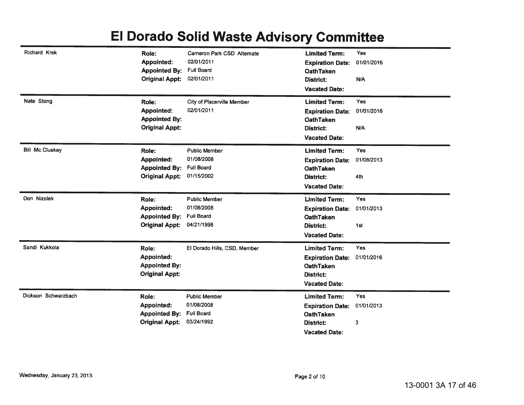## El Dorado Solid Waste Advisory Committee

| <b>Richard Krek</b>    | Role:<br><b>Appointed:</b><br><b>Appointed By:</b><br><b>Original Appt:</b> | Cameron Park CSD Alternate<br>02/01/2011<br><b>Full Board</b><br>02/01/2011 | <b>Limited Term:</b><br><b>Expiration Date:</b><br><b>OathTaken</b><br><b>District:</b><br><b>Vacated Date:</b> | Yes<br>01/01/2016<br>N/A |
|------------------------|-----------------------------------------------------------------------------|-----------------------------------------------------------------------------|-----------------------------------------------------------------------------------------------------------------|--------------------------|
| Nate Stong             | Role:<br><b>Appointed:</b><br><b>Appointed By:</b><br><b>Original Appt:</b> | <b>City of Placerville Member</b><br>02/01/2011                             | <b>Limited Term:</b><br><b>Expiration Date:</b><br><b>OathTaken</b><br><b>District:</b><br><b>Vacated Date:</b> | Yes<br>01/01/2016<br>N/A |
| <b>Bill Mc Cluskey</b> | Role:<br>Appointed:<br><b>Appointed By:</b><br><b>Original Appt:</b>        | <b>Public Member</b><br>01/08/2008<br><b>Full Board</b><br>01/15/2002       | <b>Limited Term:</b><br><b>Expiration Date:</b><br><b>OathTaken</b><br>District:<br><b>Vacated Date:</b>        | Yes<br>01/08/2013<br>4th |
| Don Nizolek            | Role:<br><b>Appointed:</b><br><b>Appointed By:</b><br><b>Original Appt:</b> | <b>Public Member</b><br>01/08/2008<br><b>Full Board</b><br>04/21/1998       | <b>Limited Term:</b><br><b>Expiration Date:</b><br><b>OathTaken</b><br><b>District:</b><br><b>Vacated Date:</b> | Yes<br>01/01/2013<br>1st |
| Sandi Kukkola          | Role:<br><b>Appointed:</b><br><b>Appointed By:</b><br><b>Original Appt:</b> | El Dorado Hills, CSD, Member                                                | <b>Limited Term:</b><br><b>Expiration Date:</b><br><b>OathTaken</b><br><b>District:</b><br><b>Vacated Date:</b> | Yes<br>01/01/2016        |
| Dickson Schwarzbach    | Role:<br><b>Appointed:</b><br><b>Appointed By:</b><br><b>Original Appt:</b> | <b>Public Member</b><br>01/08/2008<br><b>Full Board</b><br>03/24/1992       | <b>Limited Term:</b><br><b>Expiration Date:</b><br><b>OathTaken</b><br><b>District:</b><br><b>Vacated Date:</b> | Yes<br>01/01/2013<br>3   |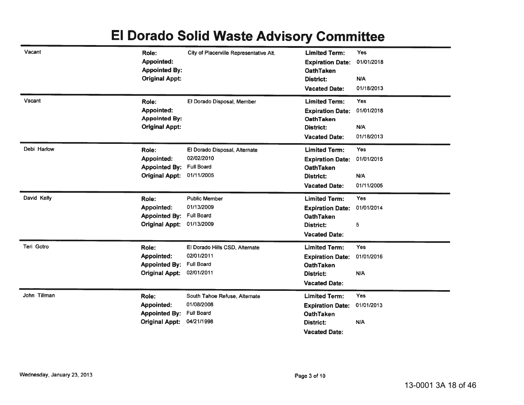#### El Dorado Solid Waste Advisory Committee

| Vacant            | Role:<br><b>Appointed:</b><br><b>Appointed By:</b><br><b>Original Appt:</b> | City of Placerville Representative Alt.                                         | <b>Limited Term:</b><br><b>Expiration Date:</b><br><b>OathTaken</b><br><b>District:</b><br><b>Vacated Date:</b> | Yes<br>01/01/2018<br>N/A<br>01/18/2013        |
|-------------------|-----------------------------------------------------------------------------|---------------------------------------------------------------------------------|-----------------------------------------------------------------------------------------------------------------|-----------------------------------------------|
| Vacant            | Role:<br><b>Appointed:</b><br><b>Appointed By:</b><br><b>Original Appt:</b> | El Dorado Disposal, Member                                                      | <b>Limited Term:</b><br><b>Expiration Date:</b><br><b>OathTaken</b><br><b>District:</b><br><b>Vacated Date:</b> | <b>Yes</b><br>01/01/2018<br>N/A<br>01/18/2013 |
| Debi Harlow       | Role:<br>Appointed:<br><b>Appointed By:</b><br><b>Original Appt:</b>        | El Dorado Disposal, Alternate<br>02/02/2010<br><b>Full Board</b><br>01/11/2005  | <b>Limited Term:</b><br><b>Expiration Date:</b><br><b>OathTaken</b><br><b>District:</b><br><b>Vacated Date:</b> | Yes<br>01/01/2015<br>N/A<br>01/11/2005        |
| David Kelly       | Role:<br>Appointed:<br><b>Appointed By:</b><br><b>Original Appt:</b>        | <b>Public Member</b><br>01/13/2009<br><b>Full Board</b><br>01/13/2009           | <b>Limited Term:</b><br><b>Expiration Date:</b><br><b>OathTaken</b><br>District:<br><b>Vacated Date:</b>        | Yes<br>01/01/2014<br>5                        |
| <b>Teri Gotro</b> | Role:<br><b>Appointed:</b><br><b>Appointed By:</b><br><b>Original Appt:</b> | El Dorado Hills CSD, Alternate<br>02/01/2011<br><b>Full Board</b><br>02/01/2011 | <b>Limited Term:</b><br><b>Expiration Date:</b><br><b>OathTaken</b><br><b>District:</b><br><b>Vacated Date:</b> | Yes<br>01/01/2016<br>N/A                      |
| John Tillman      | Role:<br>Appointed:<br><b>Appointed By:</b><br><b>Original Appt:</b>        | South Tahoe Refuse, Alternate<br>01/08/2008<br><b>Full Board</b><br>04/21/1998  | <b>Limited Term:</b><br><b>Expiration Date:</b><br><b>OathTaken</b><br><b>District:</b><br><b>Vacated Date:</b> | <b>Yes</b><br>01/01/2013<br>N/A               |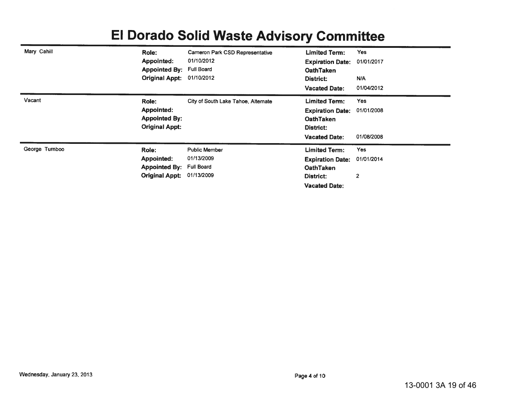| Mary Cahill    | Role:                 | Cameron Park CSD Representative     | <b>Limited Term:</b>    | Yes            |
|----------------|-----------------------|-------------------------------------|-------------------------|----------------|
|                | Appointed:            | 01/10/2012                          | <b>Expiration Date:</b> | 01/01/2017     |
|                | <b>Appointed By:</b>  | <b>Full Board</b>                   | <b>OathTaken</b>        |                |
|                | <b>Original Appt:</b> | 01/10/2012                          | District:               | N/A            |
|                |                       |                                     | <b>Vacated Date:</b>    | 01/04/2012     |
| Vacant         | Role:                 | City of South Lake Tahoe, Alternate | <b>Limited Term:</b>    | Yes            |
|                | Appointed:            |                                     | <b>Expiration Date:</b> | 01/01/2008     |
|                | <b>Appointed By:</b>  |                                     | <b>OathTaken</b>        |                |
|                | <b>Original Appt:</b> |                                     | District:               |                |
|                |                       |                                     | <b>Vacated Date:</b>    | 01/08/2008     |
| George Turnboo | Role:                 | <b>Public Member</b>                | Limited Term:           | Yes            |
|                | Appointed:            | 01/13/2009                          | <b>Expiration Date:</b> | 01/01/2014     |
|                | <b>Appointed By:</b>  | <b>Full Board</b>                   | <b>OathTaken</b>        |                |
|                | <b>Original Appt:</b> | 01/13/2009                          | District:               | $\overline{2}$ |
|                |                       |                                     | <b>Vacated Date:</b>    |                |

#### FI Dorado Solid Waste Advisory Committee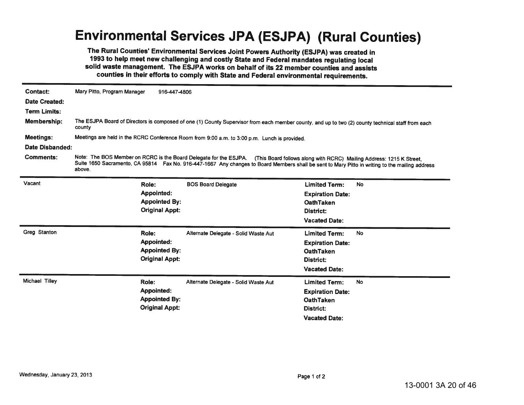## **Environmental Services JPA (ESJPA) (Rural Counties)**

The Rural Counties' Environmental Services Joint Powers Authority (ESJPA) was created in 1993 to help meet new challenging and costly State and Federal mandates regulating local solid waste management. The ESJPA works on behalf of its 22 member counties and assists counties in their efforts to comply with State and Federal environmental requirements.

| Contact:             | Mary Pitto, Program Manager                                                                                                                                 | 916-447-4806                                                                                 |                                                                                                                                                                                                                                                                                           |                                                                                                                 |           |  |  |
|----------------------|-------------------------------------------------------------------------------------------------------------------------------------------------------------|----------------------------------------------------------------------------------------------|-------------------------------------------------------------------------------------------------------------------------------------------------------------------------------------------------------------------------------------------------------------------------------------------|-----------------------------------------------------------------------------------------------------------------|-----------|--|--|
| <b>Date Created:</b> |                                                                                                                                                             |                                                                                              |                                                                                                                                                                                                                                                                                           |                                                                                                                 |           |  |  |
| <b>Term Limits:</b>  |                                                                                                                                                             |                                                                                              |                                                                                                                                                                                                                                                                                           |                                                                                                                 |           |  |  |
| <b>Membership:</b>   | The ESJPA Board of Directors is composed of one (1) County Supervisor from each member county, and up to two (2) county technical staff from each<br>county |                                                                                              |                                                                                                                                                                                                                                                                                           |                                                                                                                 |           |  |  |
| <b>Meetings:</b>     |                                                                                                                                                             | Meetings are held in the RCRC Conference Room from 9:00 a.m. to 3:00 p.m. Lunch is provided. |                                                                                                                                                                                                                                                                                           |                                                                                                                 |           |  |  |
| Date Disbanded:      |                                                                                                                                                             |                                                                                              |                                                                                                                                                                                                                                                                                           |                                                                                                                 |           |  |  |
| Comments:            | above.                                                                                                                                                      |                                                                                              | Note: The BOS Member on RCRC is the Board Delegate for the ESJPA. (This Board follows along with RCRC) Mailing Address: 1215 K Street,<br>Suite 1650 Sacramento, CA 95814 Fax No. 916-447-1667 Any changes to Board Members shall be sent to Mary Pitto in writing to the mailing address |                                                                                                                 |           |  |  |
| Vacant               | Role:                                                                                                                                                       | <b>Appointed:</b><br><b>Appointed By:</b><br><b>Original Appt:</b>                           | <b>BOS Board Delegate</b>                                                                                                                                                                                                                                                                 | <b>Limited Term:</b><br><b>Expiration Date:</b><br><b>OathTaken</b><br>District:<br><b>Vacated Date:</b>        | <b>No</b> |  |  |
| Greg Stanton         | Role:                                                                                                                                                       | <b>Appointed:</b><br><b>Appointed By:</b><br><b>Original Appt:</b>                           | Alternate Delegate - Solid Waste Aut                                                                                                                                                                                                                                                      | <b>Limited Term:</b><br><b>Expiration Date:</b><br><b>OathTaken</b><br><b>District:</b><br><b>Vacated Date:</b> | <b>No</b> |  |  |
| Michael Tilley       | Role:                                                                                                                                                       | Appointed:<br><b>Appointed By:</b><br><b>Original Appt:</b>                                  | Alternate Delegate - Solid Waste Aut                                                                                                                                                                                                                                                      | <b>Limited Term:</b><br><b>Expiration Date:</b><br><b>OathTaken</b><br>District:<br><b>Vacated Date:</b>        | No        |  |  |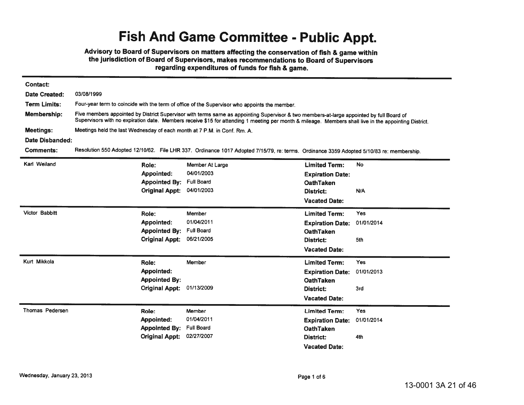## **Fish And Game Committee - Public Appt.**

Advisory to Board of Supervisors on matters affecting the conservation of fish & game within the jurisdiction of Board of Supervisors, makes recommendations to Board of Supervisors regarding expenditures of funds for fish & game.

| <b>Contact:</b>        |                                                                                                                                                                                                                                                                                                   |                                                                                                                                          |                                                                                                                 |                                 |  |  |
|------------------------|---------------------------------------------------------------------------------------------------------------------------------------------------------------------------------------------------------------------------------------------------------------------------------------------------|------------------------------------------------------------------------------------------------------------------------------------------|-----------------------------------------------------------------------------------------------------------------|---------------------------------|--|--|
| <b>Date Created:</b>   | 03/08/1999                                                                                                                                                                                                                                                                                        |                                                                                                                                          |                                                                                                                 |                                 |  |  |
| <b>Term Limits:</b>    |                                                                                                                                                                                                                                                                                                   | Four-year term to coincide with the term of office of the Supervisor who appoints the member.                                            |                                                                                                                 |                                 |  |  |
| Membership:            | Five members appointed by District Supervisor with terms same as appointing Supervisor & two members-at-large appointed by full Board of<br>Supervisors with no expiration date. Members receive \$15 for attending 1 meeting per month & mileage. Members shall live in the appointing District. |                                                                                                                                          |                                                                                                                 |                                 |  |  |
| <b>Meetings:</b>       |                                                                                                                                                                                                                                                                                                   | Meetings held the last Wednesday of each month at 7 P.M. in Conf. Rm. A.                                                                 |                                                                                                                 |                                 |  |  |
| Date Disbanded:        |                                                                                                                                                                                                                                                                                                   |                                                                                                                                          |                                                                                                                 |                                 |  |  |
| Comments:              |                                                                                                                                                                                                                                                                                                   | Resolution 550 Adopted 12/10/62. File LHR 337. Ordinance 1017 Adopted 7/15/79, re: terms. Ordinance 3359 Adopted 5/10/83 re: membership. |                                                                                                                 |                                 |  |  |
| Karl Weiland           | Role:<br>Appointed:<br><b>Appointed By:</b>                                                                                                                                                                                                                                                       | Member At Large<br>04/01/2003<br><b>Full Board</b>                                                                                       | <b>Limited Term:</b><br><b>Expiration Date:</b><br><b>OathTaken</b>                                             | <b>No</b>                       |  |  |
|                        | <b>Original Appt:</b>                                                                                                                                                                                                                                                                             | 04/01/2003                                                                                                                               | District:<br><b>Vacated Date:</b>                                                                               | N/A                             |  |  |
| Victor Babbitt         | Role:<br><b>Appointed:</b><br><b>Appointed By:</b><br><b>Original Appt:</b>                                                                                                                                                                                                                       | Member<br>01/04/2011<br><b>Full Board</b><br>06/21/2005                                                                                  | <b>Limited Term:</b><br><b>Expiration Date:</b><br><b>OathTaken</b><br>District:<br><b>Vacated Date:</b>        | Yes<br>01/01/2014<br>5th        |  |  |
| Kurt Mikkola           | Role:<br>Appointed:<br><b>Appointed By:</b><br><b>Original Appt:</b>                                                                                                                                                                                                                              | Member<br>01/13/2009                                                                                                                     | <b>Limited Term:</b><br><b>Expiration Date:</b><br><b>OathTaken</b><br><b>District:</b><br><b>Vacated Date:</b> | Yes<br>01/01/2013<br>3rd        |  |  |
| <b>Thomas Pedersen</b> | Role:<br><b>Appointed:</b><br><b>Appointed By:</b><br><b>Original Appt:</b>                                                                                                                                                                                                                       | Member<br>01/04/2011<br><b>Full Board</b><br>02/27/2007                                                                                  | <b>Limited Term:</b><br><b>Expiration Date:</b><br><b>OathTaken</b><br>District:<br><b>Vacated Date:</b>        | <b>Yes</b><br>01/01/2014<br>4th |  |  |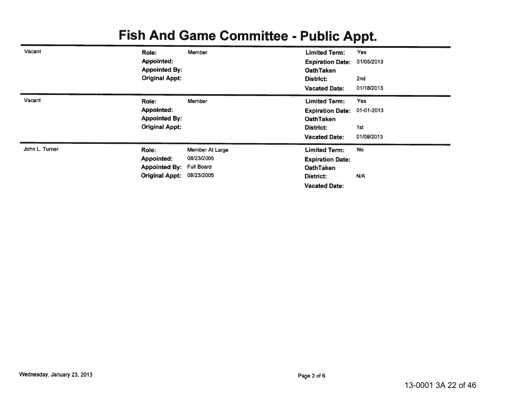# **Fish And Game Committee - Public Appt.**

| Vacant         | Role:                 | Member            | <b>Limited Term:</b>    | <b>Yes</b> |
|----------------|-----------------------|-------------------|-------------------------|------------|
|                | Appointed:            |                   | <b>Expiration Date:</b> | 01/05/2013 |
|                | <b>Appointed By:</b>  |                   | <b>OathTaken</b>        |            |
|                | <b>Original Appt:</b> |                   | District:               | 2nd        |
|                |                       |                   | <b>Vacated Date:</b>    | 01/18/2013 |
| Vacant         | Role:                 | Member            | <b>Limited Term:</b>    | <b>Yes</b> |
|                | <b>Appointed:</b>     |                   | <b>Expiration Date:</b> | 01-01-2013 |
|                | <b>Appointed By:</b>  |                   | <b>OathTaken</b>        |            |
|                | <b>Original Appt:</b> |                   | District:               | 1st        |
|                |                       |                   | <b>Vacated Date:</b>    | 01/08/2013 |
| John L. Turner | Role:                 | Member At Large   | <b>Limited Term:</b>    | <b>No</b>  |
|                | <b>Appointed:</b>     | 08/23/2005        | <b>Expiration Date:</b> |            |
|                | <b>Appointed By:</b>  | <b>Full Board</b> | <b>OathTaken</b>        |            |
|                | <b>Original Appt:</b> | 08/23/2005        | District:               | N/A        |
|                |                       |                   | <b>Vacated Date:</b>    |            |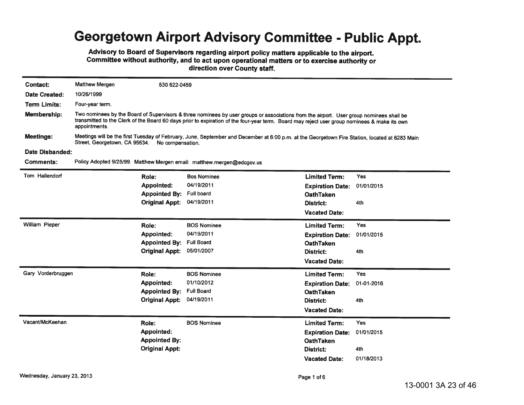## Georgetown Airport Advisory Committee - Public Appt.

Advisory to Board of Supervisors regarding airport policy matters applicable to the airport. Committee without authority, and to act upon operational matters or to exercise authority or direction over County staff.

| Contact:            | <b>Matthew Mergen</b>                                                                                                                                                                                                                                                                                    | 530 622-0459                                                                                                                                                                                     |                                                                        |                                                                                                                 |                                        |  |
|---------------------|----------------------------------------------------------------------------------------------------------------------------------------------------------------------------------------------------------------------------------------------------------------------------------------------------------|--------------------------------------------------------------------------------------------------------------------------------------------------------------------------------------------------|------------------------------------------------------------------------|-----------------------------------------------------------------------------------------------------------------|----------------------------------------|--|
| Date Created:       | 10/26/1999                                                                                                                                                                                                                                                                                               |                                                                                                                                                                                                  |                                                                        |                                                                                                                 |                                        |  |
| <b>Term Limits:</b> | Four-year term.                                                                                                                                                                                                                                                                                          |                                                                                                                                                                                                  |                                                                        |                                                                                                                 |                                        |  |
| <b>Membership:</b>  | Two nominees by the Board of Supervisors & three nominees by user groups or associations from the airport. User group nominees shall be<br>transmitted to the Clerk of the Board 60 days prior to expiration of the four-year term. Board may reject user group nominees & make its own<br>appointments. |                                                                                                                                                                                                  |                                                                        |                                                                                                                 |                                        |  |
| <b>Meetings:</b>    |                                                                                                                                                                                                                                                                                                          | Meetings will be the first Tuesday of February, June, September and December at 6:00 p.m. at the Georgetown Fire Station, located at 6283 Main<br>Street, Georgetown, CA 95634. No compensation. |                                                                        |                                                                                                                 |                                        |  |
| Date Disbanded:     |                                                                                                                                                                                                                                                                                                          |                                                                                                                                                                                                  |                                                                        |                                                                                                                 |                                        |  |
| <b>Comments:</b>    |                                                                                                                                                                                                                                                                                                          |                                                                                                                                                                                                  | Policy Adopted 9/28/99. Matthew Mergen email: matthew mergen@edcgoy.us |                                                                                                                 |                                        |  |
| Tom Hallendorf      |                                                                                                                                                                                                                                                                                                          | Role:<br><b>Appointed:</b><br><b>Appointed By:</b><br><b>Original Appt:</b>                                                                                                                      | <b>Bos Nominee</b><br>04/19/2011<br><b>Full board</b><br>04/19/2011    | <b>Limited Term:</b><br><b>Expiration Date:</b><br><b>OathTaken</b><br><b>District:</b><br><b>Vacated Date:</b> | <b>Yes</b><br>01/01/2015<br>4th        |  |
| William Pieper      |                                                                                                                                                                                                                                                                                                          | Role:<br>Appointed:<br><b>Appointed By:</b><br><b>Original Appt:</b>                                                                                                                             | <b>BOS Nominee</b><br>04/19/2011<br><b>Full Board</b><br>05/01/2007    | <b>Limited Term:</b><br><b>Expiration Date:</b><br><b>OathTaken</b><br>District:<br><b>Vacated Date:</b>        | Yes<br>01/01/2015<br>4th               |  |
| Gary Vorderbruggen  |                                                                                                                                                                                                                                                                                                          | Role:<br><b>Appointed:</b><br><b>Appointed By:</b><br><b>Original Appt:</b>                                                                                                                      | <b>BOS Nominee</b><br>01/10/2012<br><b>Full Board</b><br>04/19/2011    | <b>Limited Term:</b><br><b>Expiration Date:</b><br><b>OathTaken</b><br>District:<br><b>Vacated Date:</b>        | <b>Yes</b><br>01-01-2016<br>4th        |  |
| Vacant/McKeehan     |                                                                                                                                                                                                                                                                                                          | Role:<br><b>Appointed:</b><br><b>Appointed By:</b><br><b>Original Appt:</b>                                                                                                                      | <b>BOS Nominee</b>                                                     | <b>Limited Term:</b><br><b>Expiration Date:</b><br><b>OathTaken</b><br>District:<br><b>Vacated Date:</b>        | Yes<br>01/01/2015<br>4th<br>01/18/2013 |  |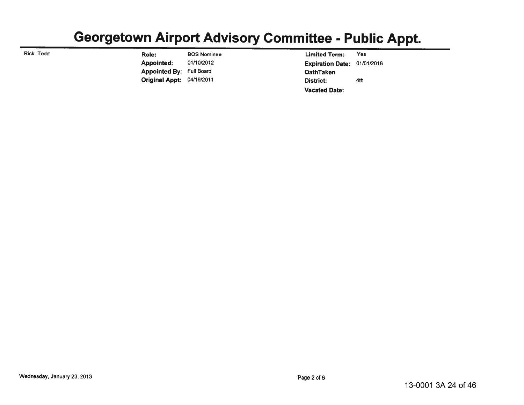#### Georgetown Airport Advisory Committee - Public Appt.

**Rick Todd** 

**BOS Nominee** Role: Appointed: 01/10/2012 Appointed By: Full Board Original Appt: 04/19/2011

**Limited Term:** Yes **Expiration Date:** 01/01/2016 **OathTaken** District: 4th **Vacated Date:**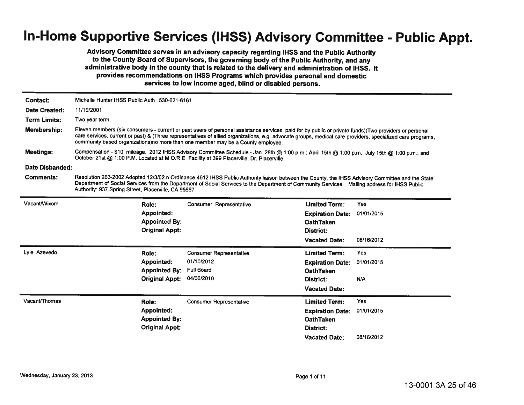## In-Home Supportive Services (IHSS) Advisory Committee - Public Appt.

Advisory Committee serves in an advisory capacity regarding IHSS and the Public Authority to the County Board of Supervisors, the governing body of the Public Authority, and any administrative body in the county that is related to the delivery and administration of IHSS. It provides recommendations on IHSS Programs which provides personal and domestic services to low income aged, blind or disabled persons.

| Contact:            | Michelle Hunter IHSS Public Auth 530-621-6161                                                                                                                                                                                                                                                                                                                                                          |                                                                                                                                                                                                                                                                                                   |                         |            |  |  |  |
|---------------------|--------------------------------------------------------------------------------------------------------------------------------------------------------------------------------------------------------------------------------------------------------------------------------------------------------------------------------------------------------------------------------------------------------|---------------------------------------------------------------------------------------------------------------------------------------------------------------------------------------------------------------------------------------------------------------------------------------------------|-------------------------|------------|--|--|--|
| Date Created:       | 11/19/2001                                                                                                                                                                                                                                                                                                                                                                                             |                                                                                                                                                                                                                                                                                                   |                         |            |  |  |  |
| <b>Term Limits:</b> | Two year term.                                                                                                                                                                                                                                                                                                                                                                                         |                                                                                                                                                                                                                                                                                                   |                         |            |  |  |  |
| Membership:         | Eleven members (six consumers - current or past users of personal assistance services, paid for by public or private funds)(Two providers or personal<br>care services, current or past) & (Three representatives of allied organizations, e.g. advocate groups, medical care providers, specialized care programs,<br>community based organizations)no more than one member may be a County employee. |                                                                                                                                                                                                                                                                                                   |                         |            |  |  |  |
| Meetings:           | Compensation - \$10, mileage. 2012 IHSS Advisory Committee Schedule - Jan. 28th @ 1:00 p.m.; April 15th @ 1:00 p.m.; July 15th @ 1:00 p.m.; and<br>October 21st @ 1:00 P.M. Located at M.O.R.E. Facility at 399 Placerville, Dr. Placerville.                                                                                                                                                          |                                                                                                                                                                                                                                                                                                   |                         |            |  |  |  |
| Date Disbanded:     |                                                                                                                                                                                                                                                                                                                                                                                                        |                                                                                                                                                                                                                                                                                                   |                         |            |  |  |  |
| <b>Comments:</b>    | Authority: 937 Spring Street, Placerville, CA 95667                                                                                                                                                                                                                                                                                                                                                    | Resolution 263-2002 Adopted 12/3/02.n Ordinance 4612 IHSS Public Authority liaison between the County, the IHSS Advisory Committee and the State<br>Department of Social Services from the Department of Social Services to the Department of Community Services. Mailing address for IHSS Public |                         |            |  |  |  |
| Vacant/Wixom        | Role:                                                                                                                                                                                                                                                                                                                                                                                                  | <b>Consumer Representative</b>                                                                                                                                                                                                                                                                    | <b>Limited Term:</b>    | <b>Yes</b> |  |  |  |
|                     | <b>Appointed:</b>                                                                                                                                                                                                                                                                                                                                                                                      |                                                                                                                                                                                                                                                                                                   | <b>Expiration Date:</b> | 01/01/2015 |  |  |  |
|                     | <b>Appointed By:</b>                                                                                                                                                                                                                                                                                                                                                                                   |                                                                                                                                                                                                                                                                                                   | <b>OathTaken</b>        |            |  |  |  |
|                     | <b>Original Appt:</b>                                                                                                                                                                                                                                                                                                                                                                                  |                                                                                                                                                                                                                                                                                                   | District:               |            |  |  |  |
|                     |                                                                                                                                                                                                                                                                                                                                                                                                        |                                                                                                                                                                                                                                                                                                   | <b>Vacated Date:</b>    | 08/16/2012 |  |  |  |
| Lyle Azevedo        | Role:                                                                                                                                                                                                                                                                                                                                                                                                  | <b>Consumer Representative</b>                                                                                                                                                                                                                                                                    | <b>Limited Term:</b>    | <b>Yes</b> |  |  |  |
|                     | Appointed:                                                                                                                                                                                                                                                                                                                                                                                             | 01/10/2012                                                                                                                                                                                                                                                                                        | <b>Expiration Date:</b> | 01/01/2015 |  |  |  |
|                     | <b>Appointed By:</b>                                                                                                                                                                                                                                                                                                                                                                                   | <b>Full Board</b>                                                                                                                                                                                                                                                                                 | <b>OathTaken</b>        |            |  |  |  |
|                     | <b>Original Appt:</b>                                                                                                                                                                                                                                                                                                                                                                                  | 04/06/2010                                                                                                                                                                                                                                                                                        | District:               | N/A        |  |  |  |
|                     |                                                                                                                                                                                                                                                                                                                                                                                                        |                                                                                                                                                                                                                                                                                                   | <b>Vacated Date:</b>    |            |  |  |  |
| Vacant/Thomas       | Role:                                                                                                                                                                                                                                                                                                                                                                                                  | <b>Consumer Representative</b>                                                                                                                                                                                                                                                                    | <b>Limited Term:</b>    | <b>Yes</b> |  |  |  |
|                     | <b>Appointed:</b>                                                                                                                                                                                                                                                                                                                                                                                      |                                                                                                                                                                                                                                                                                                   | <b>Expiration Date:</b> | 01/01/2015 |  |  |  |
|                     | <b>Appointed By:</b>                                                                                                                                                                                                                                                                                                                                                                                   |                                                                                                                                                                                                                                                                                                   | <b>OathTaken</b>        |            |  |  |  |
|                     | <b>Original Appt:</b>                                                                                                                                                                                                                                                                                                                                                                                  |                                                                                                                                                                                                                                                                                                   | District:               |            |  |  |  |
|                     |                                                                                                                                                                                                                                                                                                                                                                                                        |                                                                                                                                                                                                                                                                                                   | <b>Vacated Date:</b>    | 08/16/2012 |  |  |  |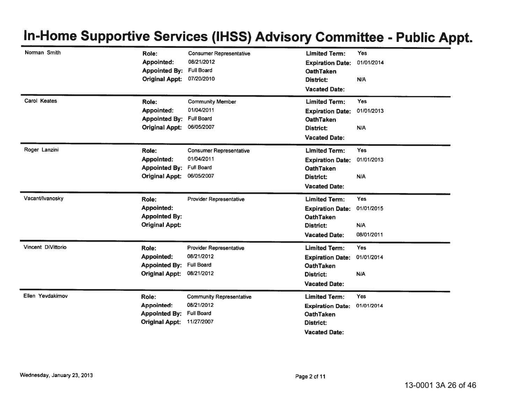| Norman Smith       |                                               |                                 |                                      |            |
|--------------------|-----------------------------------------------|---------------------------------|--------------------------------------|------------|
|                    | Role:                                         | <b>Consumer Representative</b>  | <b>Limited Term:</b>                 | Yes        |
|                    | Appointed:                                    | 08/21/2012                      | <b>Expiration Date:</b>              | 01/01/2014 |
|                    | <b>Appointed By:</b>                          | <b>Full Board</b>               | <b>OathTaken</b>                     |            |
|                    | <b>Original Appt:</b>                         | 07/20/2010                      | <b>District:</b>                     | N/A        |
|                    |                                               |                                 | <b>Vacated Date:</b>                 |            |
| Carol Keates       | Role:                                         | <b>Community Member</b>         | <b>Limited Term:</b>                 | <b>Yes</b> |
|                    | <b>Appointed:</b>                             | 01/04/2011                      | <b>Expiration Date:</b>              | 01/01/2013 |
|                    | <b>Appointed By:</b>                          | <b>Full Board</b>               | <b>OathTaken</b>                     |            |
|                    | <b>Original Appt:</b>                         | 06/05/2007                      | <b>District:</b>                     | N/A        |
|                    |                                               |                                 | <b>Vacated Date:</b>                 |            |
| Roger Lanzini      | Role:                                         | <b>Consumer Representative</b>  | <b>Limited Term:</b>                 | <b>Yes</b> |
|                    | Appointed:                                    | 01/04/2011                      | <b>Expiration Date:</b>              | 01/01/2013 |
|                    | <b>Appointed By:</b>                          | <b>Full Board</b>               | <b>OathTaken</b>                     |            |
|                    | <b>Original Appt:</b>                         | 06/05/2007                      | <b>District:</b>                     | N/A        |
|                    |                                               |                                 | <b>Vacated Date:</b>                 |            |
| Vacant/Ivanosky    | Role:                                         | <b>Provider Representative</b>  | <b>Limited Term:</b>                 | <b>Yes</b> |
|                    | <b>Appointed:</b>                             |                                 | <b>Expiration Date:</b>              | 01/01/2015 |
|                    | <b>Appointed By:</b>                          |                                 | <b>OathTaken</b>                     |            |
|                    | <b>Original Appt:</b>                         |                                 | District:                            | N/A        |
|                    |                                               |                                 | <b>Vacated Date:</b>                 | 08/01/2011 |
| Vincent DiVittorio | Role:                                         | <b>Provider Representative</b>  | <b>Limited Term:</b>                 | Yes        |
|                    | Appointed:                                    | 08/21/2012                      | <b>Expiration Date:</b>              | 01/01/2014 |
|                    | <b>Appointed By:</b>                          | <b>Full Board</b>               | <b>OathTaken</b>                     |            |
|                    | <b>Original Appt:</b>                         | 08/21/2012                      | <b>District:</b>                     | N/A        |
|                    |                                               |                                 | <b>Vacated Date:</b>                 |            |
|                    |                                               |                                 |                                      |            |
| Ellen Yevdakimov   | Role:                                         | <b>Community Representative</b> | <b>Limited Term:</b>                 | Yes        |
|                    | <b>Appointed:</b>                             | 08/21/2012                      |                                      |            |
|                    |                                               | <b>Full Board</b>               | <b>Expiration Date:</b>              | 01/01/2014 |
|                    | <b>Appointed By:</b><br><b>Original Appt:</b> | 11/27/2007                      | <b>OathTaken</b><br><b>District:</b> |            |
|                    |                                               |                                 | <b>Vacated Date:</b>                 |            |

## In-Home Supportive Services (IHSS) Advisory Committee - Public Appt.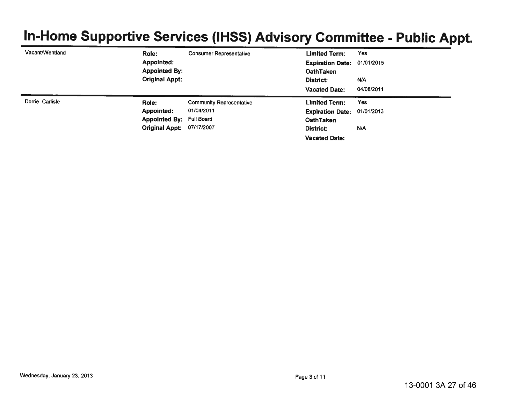# In-Home Supportive Services (IHSS) Advisory Committee - Public Appt.

| Vacant/Wentland | Role:                            | <b>Consumer Representative</b>  | <b>Limited Term:</b>    | Yes        |
|-----------------|----------------------------------|---------------------------------|-------------------------|------------|
|                 | Appointed:                       |                                 | <b>Expiration Date:</b> | 01/01/2015 |
|                 | <b>Appointed By:</b>             |                                 | <b>OathTaken</b>        |            |
|                 | <b>Original Appt:</b>            |                                 | District:               | N/A        |
|                 |                                  |                                 | <b>Vacated Date:</b>    | 04/08/2011 |
| Dorrie Carlisle | Role:                            | <b>Community Representative</b> | <b>Limited Term:</b>    | <b>Yes</b> |
|                 | Appointed:                       | 01/04/2011                      | <b>Expiration Date:</b> | 01/01/2013 |
|                 | <b>Appointed By: Full Board</b>  |                                 | <b>OathTaken</b>        |            |
|                 | <b>Original Appt: 07/17/2007</b> |                                 | District:               | N/A        |
|                 |                                  |                                 | <b>Vacated Date:</b>    |            |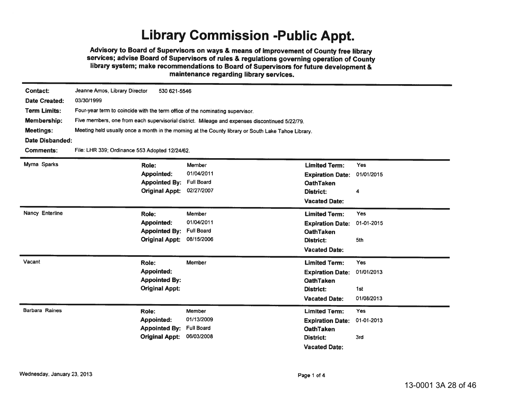## **Library Commission -Public Appt.**

Advisory to Board of Supervisors on ways & means of improvement of County free library services; advise Board of Supervisors of rules & regulations governing operation of County library system; make recommendations to Board of Supervisors for future development & maintenance regarding library services.

| Contact:              | Jeanne Amos, Library Director<br>530 621-5546                                 |                                                                                                     |                         |            |  |  |  |
|-----------------------|-------------------------------------------------------------------------------|-----------------------------------------------------------------------------------------------------|-------------------------|------------|--|--|--|
| Date Created:         | 03/30/1999                                                                    |                                                                                                     |                         |            |  |  |  |
| <b>Term Limits:</b>   | Four-year term to coincide with the term office of the nominating supervisor. |                                                                                                     |                         |            |  |  |  |
| Membership:           |                                                                               | Five members, one from each supervisorial district. Mileage and expenses discontinued 5/22/79.      |                         |            |  |  |  |
| <b>Meetings:</b>      |                                                                               | Meeting held usually once a month in the morning at the County library or South Lake Tahoe Library. |                         |            |  |  |  |
| Date Disbanded:       |                                                                               |                                                                                                     |                         |            |  |  |  |
| <b>Comments:</b>      | File: LHR 339; Ordinance 553 Adopted 12/24/62.                                |                                                                                                     |                         |            |  |  |  |
| Myrna Sparks          | Role:                                                                         | Member                                                                                              | <b>Limited Term:</b>    | Yes        |  |  |  |
|                       | <b>Appointed:</b>                                                             | 01/04/2011                                                                                          | <b>Expiration Date:</b> | 01/01/2015 |  |  |  |
|                       | <b>Appointed By:</b>                                                          | <b>Full Board</b>                                                                                   | <b>OathTaken</b>        |            |  |  |  |
|                       | <b>Original Appt:</b>                                                         | 02/27/2007                                                                                          | <b>District:</b>        | 4          |  |  |  |
|                       |                                                                               |                                                                                                     | <b>Vacated Date:</b>    |            |  |  |  |
| Nancy Enterline       | Role:                                                                         | Member                                                                                              | <b>Limited Term:</b>    | Yes        |  |  |  |
|                       | <b>Appointed:</b>                                                             | 01/04/2011                                                                                          | <b>Expiration Date:</b> | 01-01-2015 |  |  |  |
|                       | <b>Appointed By:</b>                                                          | <b>Full Board</b>                                                                                   | <b>OathTaken</b>        |            |  |  |  |
|                       | <b>Original Appt:</b>                                                         | 08/15/2006                                                                                          | <b>District:</b>        | 5th        |  |  |  |
|                       |                                                                               |                                                                                                     | <b>Vacated Date:</b>    |            |  |  |  |
| Vacant                | Role:                                                                         | Member                                                                                              | <b>Limited Term:</b>    | Yes        |  |  |  |
|                       | Appointed:                                                                    |                                                                                                     | <b>Expiration Date:</b> | 01/01/2013 |  |  |  |
|                       | <b>Appointed By:</b>                                                          |                                                                                                     | <b>OathTaken</b>        |            |  |  |  |
|                       | <b>Original Appt:</b>                                                         |                                                                                                     | <b>District:</b>        | 1st        |  |  |  |
|                       |                                                                               |                                                                                                     | <b>Vacated Date:</b>    | 01/08/2013 |  |  |  |
| <b>Barbara Raines</b> | Role:                                                                         | Member                                                                                              | <b>Limited Term:</b>    | Yes        |  |  |  |
|                       | <b>Appointed:</b>                                                             | 01/13/2009                                                                                          | <b>Expiration Date:</b> | 01-01-2013 |  |  |  |
|                       | <b>Appointed By:</b>                                                          | <b>Full Board</b>                                                                                   | <b>OathTaken</b>        |            |  |  |  |
|                       | <b>Original Appt:</b>                                                         | 06/03/2008                                                                                          | District:               | 3rd        |  |  |  |
|                       |                                                                               |                                                                                                     | <b>Vacated Date:</b>    |            |  |  |  |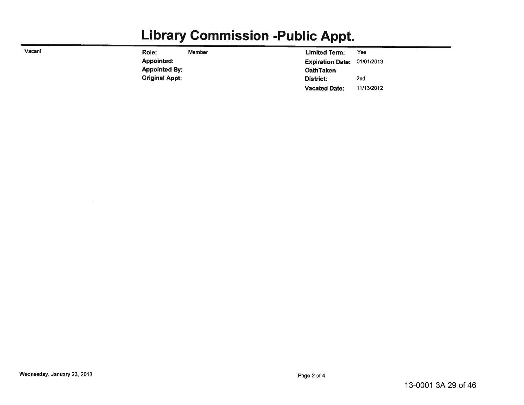## **Library Commission -Public Appt.**

| Vacant | Role:                 | Member | <b>Limited Term:</b>    | Yes        |
|--------|-----------------------|--------|-------------------------|------------|
|        | Appointed:            |        | <b>Expiration Date:</b> | 01/01/2013 |
|        | <b>Appointed By:</b>  |        | <b>OathTaken</b>        |            |
|        | <b>Original Appt:</b> |        | District:               | 2nd        |
|        |                       |        | <b>Vacated Date:</b>    | 11/13/2012 |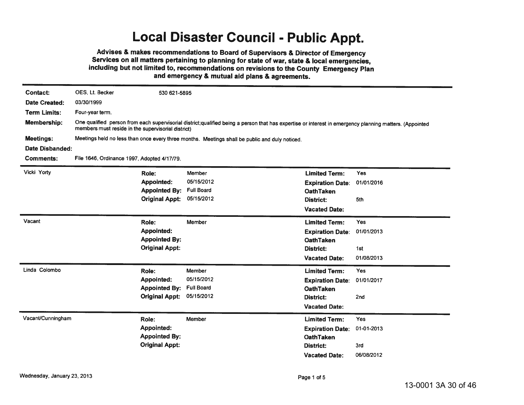### **Local Disaster Council - Public Appt.**

Advises & makes recommendations to Board of Supervisors & Director of Emergency Services on all matters pertaining to planning for state of war, state & local emergencies, including but not limited to, recommendations on revisions to the County Emergency Plan and emergency & mutual aid plans & agreements.

| Contact:            | OES, Lt. Becker                                                                                | 530 621-5895          |                                                                                                                                                         |                         |            |  |
|---------------------|------------------------------------------------------------------------------------------------|-----------------------|---------------------------------------------------------------------------------------------------------------------------------------------------------|-------------------------|------------|--|
| Date Created:       | 03/30/1999                                                                                     |                       |                                                                                                                                                         |                         |            |  |
| <b>Term Limits:</b> | Four-year term.                                                                                |                       |                                                                                                                                                         |                         |            |  |
| Membership:         | members must reside in the supervisorial district)                                             |                       | One qualified person from each supervisorial district;qualified being a person that has expertise or interest in emergency planning matters. (Appointed |                         |            |  |
| <b>Meetings:</b>    | Meetings held no less than once every three months. Meetings shall be public and duly noticed. |                       |                                                                                                                                                         |                         |            |  |
| Date Disbanded:     |                                                                                                |                       |                                                                                                                                                         |                         |            |  |
| <b>Comments:</b>    | File 1646, Ordinance 1997, Adopted 4/17/79.                                                    |                       |                                                                                                                                                         |                         |            |  |
| Vicki Yorty         | Role:                                                                                          |                       | Member                                                                                                                                                  | <b>Limited Term:</b>    | Yes        |  |
|                     |                                                                                                | <b>Appointed:</b>     | 05/15/2012                                                                                                                                              | <b>Expiration Date:</b> | 01/01/2016 |  |
|                     |                                                                                                | <b>Appointed By:</b>  | <b>Full Board</b>                                                                                                                                       | <b>OathTaken</b>        |            |  |
|                     |                                                                                                | <b>Original Appt:</b> | 05/15/2012                                                                                                                                              | <b>District:</b>        | 5th        |  |
|                     |                                                                                                |                       |                                                                                                                                                         | <b>Vacated Date:</b>    |            |  |
| Vacant              | Role:                                                                                          |                       | Member                                                                                                                                                  | <b>Limited Term:</b>    | Yes        |  |
|                     |                                                                                                | <b>Appointed:</b>     |                                                                                                                                                         | <b>Expiration Date:</b> | 01/01/2013 |  |
|                     |                                                                                                | <b>Appointed By:</b>  |                                                                                                                                                         | <b>OathTaken</b>        |            |  |
|                     |                                                                                                | <b>Original Appt:</b> |                                                                                                                                                         | <b>District:</b>        | 1st        |  |
|                     |                                                                                                |                       |                                                                                                                                                         | <b>Vacated Date:</b>    | 01/08/2013 |  |
| Linda Colombo       | Role:                                                                                          |                       | Member                                                                                                                                                  | <b>Limited Term:</b>    | <b>Yes</b> |  |
|                     |                                                                                                | Appointed:            | 05/15/2012                                                                                                                                              | <b>Expiration Date:</b> | 01/01/2017 |  |
|                     |                                                                                                | <b>Appointed By:</b>  | <b>Full Board</b>                                                                                                                                       | <b>OathTaken</b>        |            |  |
|                     |                                                                                                | <b>Original Appt:</b> | 05/15/2012                                                                                                                                              | District:               | 2nd        |  |
|                     |                                                                                                |                       |                                                                                                                                                         | <b>Vacated Date:</b>    |            |  |
| Vacant/Cunningham   | Role:                                                                                          |                       | Member                                                                                                                                                  | <b>Limited Term:</b>    | Yes        |  |
|                     |                                                                                                | <b>Appointed:</b>     |                                                                                                                                                         | <b>Expiration Date:</b> | 01-01-2013 |  |
|                     |                                                                                                | <b>Appointed By:</b>  |                                                                                                                                                         | <b>OathTaken</b>        |            |  |
|                     |                                                                                                | <b>Original Appt:</b> |                                                                                                                                                         | District:               | 3rd        |  |
|                     |                                                                                                |                       |                                                                                                                                                         | <b>Vacated Date:</b>    | 06/08/2012 |  |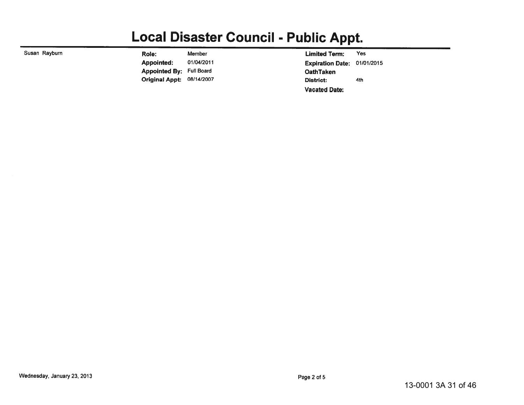## **Local Disaster Council - Public Appt.**

| Susan Rayburn | Role:                            | Member     | <b>Limited Term:</b>               | Yes |
|---------------|----------------------------------|------------|------------------------------------|-----|
|               | Appointed:                       | 01/04/2011 | <b>Expiration Date: 01/01/2015</b> |     |
|               | <b>Appointed By: Full Board</b>  |            | <b>OathTaken</b>                   |     |
|               | <b>Original Appt: 08/14/2007</b> |            | <b>District:</b>                   | 4th |
|               |                                  |            | <b>Vacated Date:</b>               |     |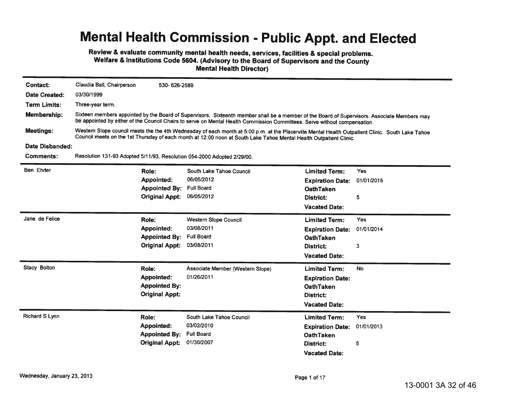Review & evaluate community mental health needs, services, facilities & special problems. Welfare & Institutions Code 5604. (Advisory to the Board of Supervisors and the County **Mental Health Director)** 

| <b>Contact:</b>       | Claudia Ball, Chairperson                                                                                                                                                                                                                                               | 530-626-2589          |                                                                                                                                                                                                                                                                           |                         |            |  |
|-----------------------|-------------------------------------------------------------------------------------------------------------------------------------------------------------------------------------------------------------------------------------------------------------------------|-----------------------|---------------------------------------------------------------------------------------------------------------------------------------------------------------------------------------------------------------------------------------------------------------------------|-------------------------|------------|--|
| Date Created:         | 03/30/1999                                                                                                                                                                                                                                                              |                       |                                                                                                                                                                                                                                                                           |                         |            |  |
| <b>Term Limits:</b>   | Three-year term.                                                                                                                                                                                                                                                        |                       |                                                                                                                                                                                                                                                                           |                         |            |  |
| Membership:           |                                                                                                                                                                                                                                                                         |                       | Sixteen members appointed by the Board of Supervisors. Sixteenth member shall be a member of the Board of Supervisors. Associate Members may<br>be appointed by either of the Council Chairs to serve on Mental Health Commission Committees. Serve without compensation. |                         |            |  |
| <b>Meetings:</b>      | Western Slope council meets the the 4th Wednesday of each month at 5:00 p.m. at the Placerville Mental Health Outpatient Clinic. South Lake Tahoe<br>Council meets on the 1st Thursday of each month at 12:00 noon at South Lake Tahoe Mental Health Outpatient Clinic. |                       |                                                                                                                                                                                                                                                                           |                         |            |  |
| Date Disbanded:       |                                                                                                                                                                                                                                                                         |                       |                                                                                                                                                                                                                                                                           |                         |            |  |
| <b>Comments:</b>      | Resolution 131-93 Adopted 5/11/93, Resolution 054-2000 Adopted 2/29/00.                                                                                                                                                                                                 |                       |                                                                                                                                                                                                                                                                           |                         |            |  |
| Ben Ehrler            | Role:                                                                                                                                                                                                                                                                   |                       | South Lake Tahoe Council                                                                                                                                                                                                                                                  | <b>Limited Term:</b>    | Yes        |  |
|                       |                                                                                                                                                                                                                                                                         | Appointed:            | 06/05/2012                                                                                                                                                                                                                                                                | <b>Expiration Date:</b> | 01/01/2015 |  |
|                       |                                                                                                                                                                                                                                                                         | <b>Appointed By:</b>  | <b>Full Board</b>                                                                                                                                                                                                                                                         | <b>OathTaken</b>        |            |  |
|                       |                                                                                                                                                                                                                                                                         | <b>Original Appt:</b> | 06/05/2012                                                                                                                                                                                                                                                                | District:               | 5          |  |
|                       |                                                                                                                                                                                                                                                                         |                       |                                                                                                                                                                                                                                                                           | <b>Vacated Date:</b>    |            |  |
| Jane de Felice        | Role:                                                                                                                                                                                                                                                                   |                       | <b>Western Slope Council</b>                                                                                                                                                                                                                                              | <b>Limited Term:</b>    | Yes        |  |
|                       |                                                                                                                                                                                                                                                                         | Appointed:            | 03/08/2011                                                                                                                                                                                                                                                                | <b>Expiration Date:</b> | 01/01/2014 |  |
|                       |                                                                                                                                                                                                                                                                         | <b>Appointed By:</b>  | <b>Full Board</b>                                                                                                                                                                                                                                                         | <b>OathTaken</b>        |            |  |
|                       |                                                                                                                                                                                                                                                                         | <b>Original Appt:</b> | 03/08/2011                                                                                                                                                                                                                                                                | District:               | 3          |  |
|                       |                                                                                                                                                                                                                                                                         |                       |                                                                                                                                                                                                                                                                           | <b>Vacated Date:</b>    |            |  |
| Stacy Bolton          | Role:                                                                                                                                                                                                                                                                   |                       | Associate Member (Western Slope)                                                                                                                                                                                                                                          | <b>Limited Term:</b>    | <b>No</b>  |  |
|                       |                                                                                                                                                                                                                                                                         | <b>Appointed:</b>     | 01/26/2011                                                                                                                                                                                                                                                                | <b>Expiration Date:</b> |            |  |
|                       |                                                                                                                                                                                                                                                                         | <b>Appointed By:</b>  |                                                                                                                                                                                                                                                                           | <b>OathTaken</b>        |            |  |
|                       |                                                                                                                                                                                                                                                                         | <b>Original Appt:</b> |                                                                                                                                                                                                                                                                           | District:               |            |  |
|                       |                                                                                                                                                                                                                                                                         |                       |                                                                                                                                                                                                                                                                           | <b>Vacated Date:</b>    |            |  |
| <b>Richard S Lynn</b> | Role:                                                                                                                                                                                                                                                                   |                       | South Lake Tahoe Council                                                                                                                                                                                                                                                  | <b>Limited Term:</b>    | <b>Yes</b> |  |
|                       |                                                                                                                                                                                                                                                                         | Appointed:            | 03/02/2010                                                                                                                                                                                                                                                                | <b>Expiration Date:</b> | 01/01/2013 |  |
|                       |                                                                                                                                                                                                                                                                         | <b>Appointed By:</b>  | <b>Full Board</b>                                                                                                                                                                                                                                                         | <b>OathTaken</b>        |            |  |
|                       |                                                                                                                                                                                                                                                                         | <b>Original Appt:</b> | 01/30/2007                                                                                                                                                                                                                                                                | District:               | 5          |  |
|                       |                                                                                                                                                                                                                                                                         |                       |                                                                                                                                                                                                                                                                           | <b>Vacated Date:</b>    |            |  |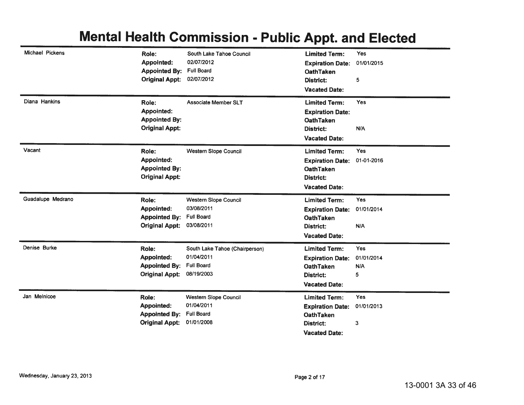| Michael Pickens   | Role:<br><b>Appointed:</b><br><b>Appointed By:</b><br><b>Original Appt:</b> | South Lake Tahoe Council<br>02/07/2012<br><b>Full Board</b><br>02/07/2012       | <b>Limited Term:</b><br><b>Expiration Date:</b><br>OathTaken<br>District:<br><b>Vacated Date:</b>               | <b>Yes</b><br>01/01/2015<br>5 |
|-------------------|-----------------------------------------------------------------------------|---------------------------------------------------------------------------------|-----------------------------------------------------------------------------------------------------------------|-------------------------------|
| Diana Hankins     | Role:<br><b>Appointed:</b><br><b>Appointed By:</b><br><b>Original Appt:</b> | <b>Associate Member SLT</b>                                                     | <b>Limited Term:</b><br><b>Expiration Date:</b><br><b>OathTaken</b><br><b>District:</b><br><b>Vacated Date:</b> | <b>Yes</b><br>N/A             |
| Vacant            | Role:<br>Appointed:<br><b>Appointed By:</b><br><b>Original Appt:</b>        | <b>Western Slope Council</b>                                                    | <b>Limited Term:</b><br><b>Expiration Date:</b><br><b>OathTaken</b><br><b>District:</b><br><b>Vacated Date:</b> | <b>Yes</b><br>01-01-2016      |
| Guadalupe Medrano | Role:<br><b>Appointed:</b><br><b>Appointed By:</b><br><b>Original Appt:</b> | Western Slope Council<br>03/08/2011<br><b>Full Board</b><br>03/08/2011          | <b>Limited Term:</b><br><b>Expiration Date:</b><br><b>OathTaken</b><br><b>District:</b><br><b>Vacated Date:</b> | Yes<br>01/01/2014<br>N/A      |
| Denise Burke      | Role:<br><b>Appointed:</b><br><b>Appointed By:</b><br><b>Original Appt:</b> | South Lake Tahoe (Chairperson)<br>01/04/2011<br><b>Full Board</b><br>08/19/2003 | <b>Limited Term:</b><br><b>Expiration Date:</b><br><b>OathTaken</b><br><b>District:</b><br><b>Vacated Date:</b> | Yes<br>01/01/2014<br>N/A<br>5 |
| Jan Melnicoe      | Role:<br><b>Appointed:</b><br><b>Appointed By:</b><br><b>Original Appt:</b> | <b>Western Slope Council</b><br>01/04/2011<br><b>Full Board</b><br>01/01/2008   | <b>Limited Term:</b><br><b>Expiration Date:</b><br><b>OathTaken</b><br>District:<br><b>Vacated Date:</b>        | Yes<br>01/01/2013<br>3        |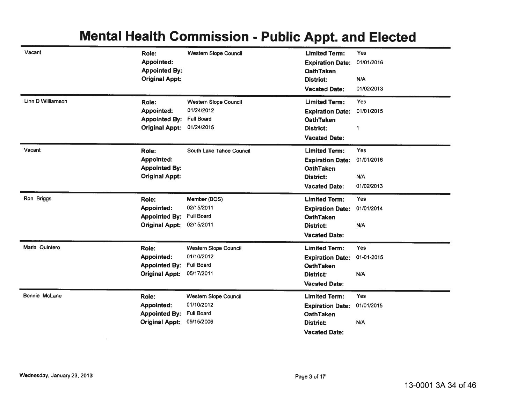| Vacant<br>Linn D Williamson | Role:<br>Appointed:<br><b>Appointed By:</b><br><b>Original Appt:</b><br>Role:<br>Appointed:<br><b>Appointed By:</b> | <b>Western Slope Council</b><br><b>Western Slope Council</b><br>01/24/2012<br><b>Full Board</b> | <b>Limited Term:</b><br><b>Expiration Date:</b><br><b>OathTaken</b><br><b>District:</b><br><b>Vacated Date:</b><br><b>Limited Term:</b><br><b>Expiration Date:</b><br><b>OathTaken</b> | Yes<br>01/01/2016<br>N/A<br>01/02/2013<br><b>Yes</b><br>01/01/2015 |
|-----------------------------|---------------------------------------------------------------------------------------------------------------------|-------------------------------------------------------------------------------------------------|----------------------------------------------------------------------------------------------------------------------------------------------------------------------------------------|--------------------------------------------------------------------|
|                             | <b>Original Appt:</b>                                                                                               | 01/24/2015                                                                                      | <b>District:</b><br><b>Vacated Date:</b>                                                                                                                                               | 1                                                                  |
| Vacant                      | Role:<br><b>Appointed:</b><br><b>Appointed By:</b><br><b>Original Appt:</b>                                         | South Lake Tahoe Council                                                                        | <b>Limited Term:</b><br><b>Expiration Date:</b><br><b>OathTaken</b><br><b>District:</b><br><b>Vacated Date:</b>                                                                        | Yes<br>01/01/2016<br>N/A<br>01/02/2013                             |
| Ron Briggs                  | Role:<br><b>Appointed:</b><br><b>Appointed By:</b><br><b>Original Appt:</b>                                         | Member (BOS)<br>02/15/2011<br><b>Full Board</b><br>02/15/2011                                   | <b>Limited Term:</b><br><b>Expiration Date:</b><br><b>OathTaken</b><br><b>District:</b><br><b>Vacated Date:</b>                                                                        | <b>Yes</b><br>01/01/2014<br>N/A                                    |
| Maria Quintero              | Role:<br><b>Appointed:</b><br><b>Appointed By:</b><br><b>Original Appt:</b>                                         | <b>Western Slope Council</b><br>01/10/2012<br><b>Full Board</b><br>05/17/2011                   | <b>Limited Term:</b><br><b>Expiration Date:</b><br><b>OathTaken</b><br><b>District:</b><br><b>Vacated Date:</b>                                                                        | Yes<br>01-01-2015<br>N/A                                           |
| Bonnie McLane               | Role:<br><b>Appointed:</b><br><b>Appointed By:</b><br><b>Original Appt:</b>                                         | <b>Western Slope Council</b><br>01/10/2012<br><b>Full Board</b><br>09/15/2006                   | <b>Limited Term:</b><br><b>Expiration Date:</b><br><b>OathTaken</b><br><b>District:</b><br><b>Vacated Date:</b>                                                                        | Yes<br>01/01/2015<br>N/A                                           |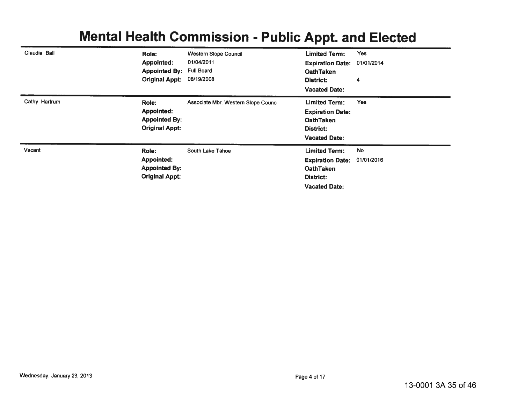|               |                       |                                    | . .                     |            |
|---------------|-----------------------|------------------------------------|-------------------------|------------|
| Claudia Ball  | Role:                 | <b>Western Slope Council</b>       | <b>Limited Term:</b>    | Yes        |
|               | <b>Appointed:</b>     | 01/04/2011                         | <b>Expiration Date:</b> | 01/01/2014 |
|               | <b>Appointed By:</b>  | <b>Full Board</b>                  | <b>OathTaken</b>        |            |
|               | <b>Original Appt:</b> | 08/19/2008                         | District:               | 4          |
|               |                       |                                    | <b>Vacated Date:</b>    |            |
| Cathy Hartrum | Role:                 | Associate Mbr. Western Slope Counc | <b>Limited Term:</b>    | <b>Yes</b> |
|               | <b>Appointed:</b>     |                                    | <b>Expiration Date:</b> |            |
|               | <b>Appointed By:</b>  |                                    | <b>OathTaken</b>        |            |
|               | <b>Original Appt:</b> |                                    | District:               |            |
|               |                       |                                    | <b>Vacated Date:</b>    |            |
| Vacant        | Role:                 | South Lake Tahoe                   | <b>Limited Term:</b>    | No         |
|               | <b>Appointed:</b>     |                                    | <b>Expiration Date:</b> | 01/01/2016 |
|               | <b>Appointed By:</b>  |                                    | <b>OathTaken</b>        |            |
|               | <b>Original Appt:</b> |                                    | District:               |            |
|               |                       |                                    | <b>Vacated Date:</b>    |            |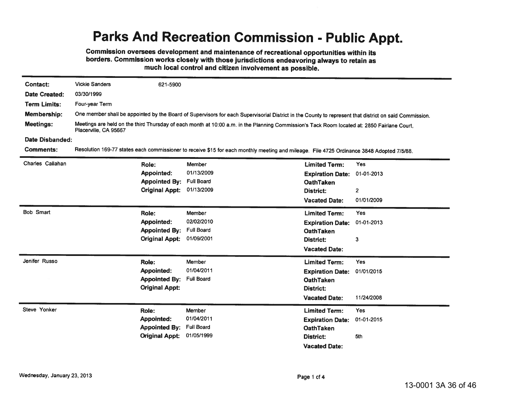## **Parks And Recreation Commission - Public Appt.**

Commission oversees development and maintenance of recreational opportunities within its borders. Commission works closely with those jurisdictions endeavoring always to retain as much local control and citizen involvement as possible.

| <b>Contact:</b>      | <b>Vickie Sanders</b> | 621-5900              |                                                                                                                                                        |                         |                         |
|----------------------|-----------------------|-----------------------|--------------------------------------------------------------------------------------------------------------------------------------------------------|-------------------------|-------------------------|
| <b>Date Created:</b> | 03/30/1999            |                       |                                                                                                                                                        |                         |                         |
| <b>Term Limits:</b>  | Four-year Term        |                       |                                                                                                                                                        |                         |                         |
| Membership:          |                       |                       | One member shall be appointed by the Board of Supervisors for each Supervisorial District in the County to represent that district on said Commission. |                         |                         |
| <b>Meetings:</b>     | Placerville, CA 95667 |                       | Meetings are held on the third Thursday of each month at 10:00 a.m. in the Planning Commission's Tack Room located at: 2850 Fairlane Court,            |                         |                         |
| Date Disbanded:      |                       |                       |                                                                                                                                                        |                         |                         |
| <b>Comments:</b>     |                       |                       | Resolution 169-77 states each commissioner to receive \$15 for each monthly meeting and mileage. File 4725 Ordinance 3848 Adopted 7/5/88.              |                         |                         |
| Charles Callahan     |                       | Role:                 | <b>Member</b>                                                                                                                                          | <b>Limited Term:</b>    | <b>Yes</b>              |
|                      |                       | <b>Appointed:</b>     | 01/13/2009                                                                                                                                             | <b>Expiration Date:</b> | 01-01-2013              |
|                      |                       | <b>Appointed By:</b>  | <b>Full Board</b>                                                                                                                                      | <b>OathTaken</b>        |                         |
|                      |                       | <b>Original Appt:</b> | 01/13/2009                                                                                                                                             | <b>District:</b>        | $\overline{\mathbf{c}}$ |
|                      |                       |                       |                                                                                                                                                        | <b>Vacated Date:</b>    | 01/01/2009              |
| <b>Bob Smart</b>     |                       | Role:                 | Member                                                                                                                                                 | <b>Limited Term:</b>    | <b>Yes</b>              |
|                      |                       | <b>Appointed:</b>     | 02/02/2010                                                                                                                                             | <b>Expiration Date:</b> | 01-01-2013              |
|                      |                       | <b>Appointed By:</b>  | <b>Full Board</b>                                                                                                                                      | <b>OathTaken</b>        |                         |
|                      |                       | <b>Original Appt:</b> | 01/09/2001                                                                                                                                             | District:               | 3                       |
|                      |                       |                       |                                                                                                                                                        | <b>Vacated Date:</b>    |                         |
| Jenifer Russo        |                       | Role:                 | Member                                                                                                                                                 | <b>Limited Term:</b>    | Yes                     |
|                      |                       | <b>Appointed:</b>     | 01/04/2011                                                                                                                                             | <b>Expiration Date:</b> | 01/01/2015              |
|                      |                       | <b>Appointed By:</b>  | <b>Full Board</b>                                                                                                                                      | <b>OathTaken</b>        |                         |
|                      |                       | <b>Original Appt:</b> |                                                                                                                                                        | District:               |                         |
|                      |                       |                       |                                                                                                                                                        | <b>Vacated Date:</b>    | 11/24/2008              |
| Steve Yonker         |                       | Role:                 | Member                                                                                                                                                 | <b>Limited Term:</b>    | <b>Yes</b>              |
|                      |                       | <b>Appointed:</b>     | 01/04/2011                                                                                                                                             | <b>Expiration Date:</b> | 01-01-2015              |
|                      |                       | <b>Appointed By:</b>  | <b>Full Board</b>                                                                                                                                      | <b>OathTaken</b>        |                         |
|                      |                       | <b>Original Appt:</b> | 01/05/1999                                                                                                                                             | <b>District:</b>        | 5th                     |
|                      |                       |                       |                                                                                                                                                        | <b>Vacated Date:</b>    |                         |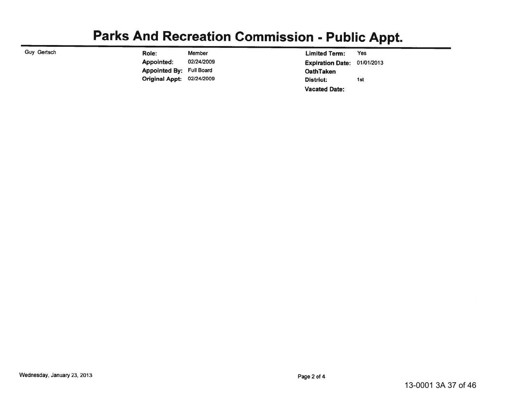## **Parks And Recreation Commission - Public Appt.**

Guy Gertsch

Role: Member Appointed: 02/24/2009 **Appointed By: Full Board** Original Appt: 02/24/2009

**Limited Term:** Yes Expiration Date: 01/01/2013 **OathTaken** District: 1st **Vacated Date:**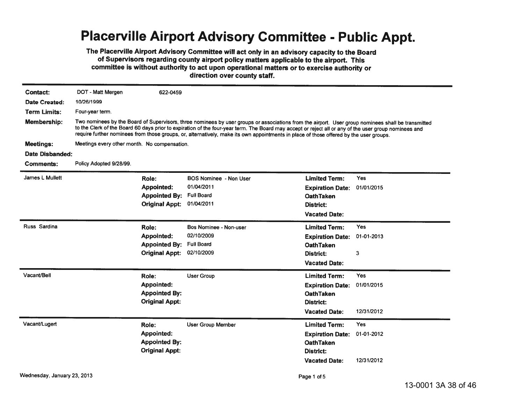#### **Placerville Airport Advisory Committee - Public Appt.**

The Placerville Airport Advisory Committee will act only in an advisory capacity to the Board of Supervisors regarding county airport policy matters applicable to the airport. This committee is without authority to act upon operational matters or to exercise authority or direction over county staff.

| <b>Contact:</b>      | DOT - Matt Mergen                                                                                                                                                                                                                                                                                                                                                                                                                                     | 622-0459              |                               |                         |            |  |  |
|----------------------|-------------------------------------------------------------------------------------------------------------------------------------------------------------------------------------------------------------------------------------------------------------------------------------------------------------------------------------------------------------------------------------------------------------------------------------------------------|-----------------------|-------------------------------|-------------------------|------------|--|--|
| <b>Date Created:</b> | 10/26/1999                                                                                                                                                                                                                                                                                                                                                                                                                                            |                       |                               |                         |            |  |  |
| <b>Term Limits:</b>  | Four-year term.                                                                                                                                                                                                                                                                                                                                                                                                                                       |                       |                               |                         |            |  |  |
|                      |                                                                                                                                                                                                                                                                                                                                                                                                                                                       |                       |                               |                         |            |  |  |
| Membership:          | Two nominees by the Board of Supervisors, three nominees by user groups or associations from the airport. User group nominees shall be transmitted<br>to the Clerk of the Board 60 days prior to expiration of the four-year term. The Board may accept or reject all or any of the user group nominees and<br>require further nominees from those groups, or, alternatively, make its own appointments in place of those offered by the user groups. |                       |                               |                         |            |  |  |
| <b>Meetings:</b>     | Meetings every other month. No compensation.                                                                                                                                                                                                                                                                                                                                                                                                          |                       |                               |                         |            |  |  |
| Date Disbanded:      |                                                                                                                                                                                                                                                                                                                                                                                                                                                       |                       |                               |                         |            |  |  |
| Comments:            | Policy Adopted 9/28/99.                                                                                                                                                                                                                                                                                                                                                                                                                               |                       |                               |                         |            |  |  |
| James L Mullett      |                                                                                                                                                                                                                                                                                                                                                                                                                                                       | Role:                 | <b>BOS Nominee - Non User</b> | <b>Limited Term:</b>    | Yes        |  |  |
|                      |                                                                                                                                                                                                                                                                                                                                                                                                                                                       | <b>Appointed:</b>     | 01/04/2011                    | <b>Expiration Date:</b> | 01/01/2015 |  |  |
|                      |                                                                                                                                                                                                                                                                                                                                                                                                                                                       | <b>Appointed By:</b>  | <b>Full Board</b>             | <b>OathTaken</b>        |            |  |  |
|                      |                                                                                                                                                                                                                                                                                                                                                                                                                                                       | <b>Original Appt:</b> | 01/04/2011                    | District:               |            |  |  |
|                      |                                                                                                                                                                                                                                                                                                                                                                                                                                                       |                       |                               | <b>Vacated Date:</b>    |            |  |  |
| Russ Sardina         |                                                                                                                                                                                                                                                                                                                                                                                                                                                       | Role:                 | <b>Bos Nominee - Non-user</b> | <b>Limited Term:</b>    | <b>Yes</b> |  |  |
|                      |                                                                                                                                                                                                                                                                                                                                                                                                                                                       | Appointed:            | 02/10/2009                    | <b>Expiration Date:</b> | 01-01-2013 |  |  |
|                      |                                                                                                                                                                                                                                                                                                                                                                                                                                                       | <b>Appointed By:</b>  | <b>Full Board</b>             | <b>OathTaken</b>        |            |  |  |
|                      |                                                                                                                                                                                                                                                                                                                                                                                                                                                       | <b>Original Appt:</b> | 02/10/2009                    | District:               | 3          |  |  |
|                      |                                                                                                                                                                                                                                                                                                                                                                                                                                                       |                       |                               | <b>Vacated Date:</b>    |            |  |  |
| Vacant/Bell          |                                                                                                                                                                                                                                                                                                                                                                                                                                                       | Role:                 | <b>User Group</b>             | <b>Limited Term:</b>    | Yes        |  |  |
|                      |                                                                                                                                                                                                                                                                                                                                                                                                                                                       | <b>Appointed:</b>     |                               | <b>Expiration Date:</b> | 01/01/2015 |  |  |
|                      |                                                                                                                                                                                                                                                                                                                                                                                                                                                       | <b>Appointed By:</b>  |                               | <b>OathTaken</b>        |            |  |  |
|                      |                                                                                                                                                                                                                                                                                                                                                                                                                                                       | <b>Original Appt:</b> |                               | District:               |            |  |  |
|                      |                                                                                                                                                                                                                                                                                                                                                                                                                                                       |                       |                               | <b>Vacated Date:</b>    | 12/31/2012 |  |  |
| Vacant/Lugert        |                                                                                                                                                                                                                                                                                                                                                                                                                                                       | Role:                 | <b>User Group Member</b>      | <b>Limited Term:</b>    | Yes        |  |  |
|                      |                                                                                                                                                                                                                                                                                                                                                                                                                                                       | <b>Appointed:</b>     |                               | <b>Expiration Date:</b> | 01-01-2012 |  |  |
|                      |                                                                                                                                                                                                                                                                                                                                                                                                                                                       | <b>Appointed By:</b>  |                               | <b>OathTaken</b>        |            |  |  |
|                      |                                                                                                                                                                                                                                                                                                                                                                                                                                                       | <b>Original Appt:</b> |                               | <b>District:</b>        |            |  |  |
|                      |                                                                                                                                                                                                                                                                                                                                                                                                                                                       |                       |                               | <b>Vacated Date:</b>    | 12/31/2012 |  |  |
|                      |                                                                                                                                                                                                                                                                                                                                                                                                                                                       |                       |                               |                         |            |  |  |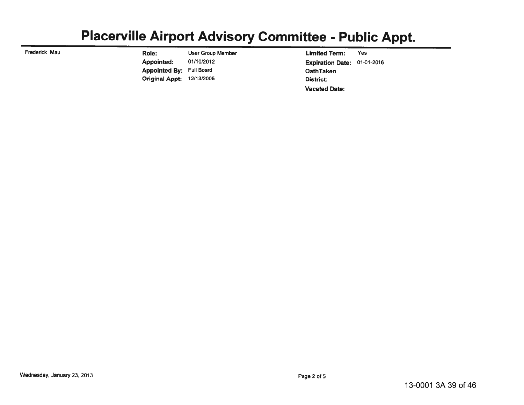## Placerville Airport Advisory Committee - Public Appt.

Frederick Mau

**User Group Member** Role: Appointed: 01/10/2012 **Appointed By: Full Board Original Appt: 12/13/2005** 

Yes **Limited Term:** Expiration Date: 01-01-2016 **OathTaken District: Vacated Date:**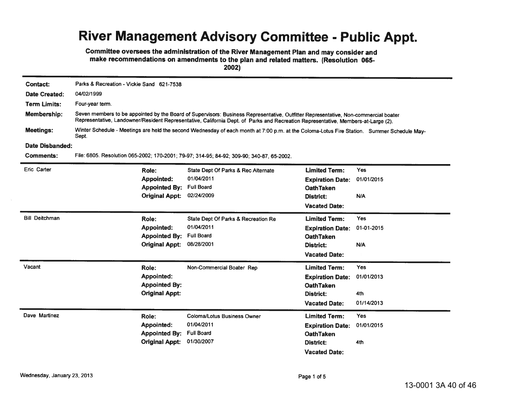## River Management Advisory Committee - Public Appt.

Committee oversees the administration of the River Management Plan and may consider and make recommendations on amendments to the plan and related matters. (Resolution 065-2002)

| Contact:              | Parks & Recreation - Vickie Sand 621-7538                                                                                                                                                                                                                                |                                                                                      |                                                                                                                 |                                               |  |  |
|-----------------------|--------------------------------------------------------------------------------------------------------------------------------------------------------------------------------------------------------------------------------------------------------------------------|--------------------------------------------------------------------------------------|-----------------------------------------------------------------------------------------------------------------|-----------------------------------------------|--|--|
| Date Created:         | 04/02/1999                                                                                                                                                                                                                                                               |                                                                                      |                                                                                                                 |                                               |  |  |
| <b>Term Limits:</b>   | Four-year term.                                                                                                                                                                                                                                                          |                                                                                      |                                                                                                                 |                                               |  |  |
| <b>Membership:</b>    | Seven members to be appointed by the Board of Supervisors: Business Representative, Outfitter Representative, Non-commercial boater<br>Representative, Landowner/Resident Representative, California Dept. of Parks and Recreation Representative, Members-at-Large (2). |                                                                                      |                                                                                                                 |                                               |  |  |
| <b>Meetings:</b>      | Winter Schedule - Meetings are held the second Wednesday of each month at 7:00 p.m. at the Coloma-Lotus Fire Station. Summer Schedule May-<br>Sept.                                                                                                                      |                                                                                      |                                                                                                                 |                                               |  |  |
| Date Disbanded:       |                                                                                                                                                                                                                                                                          |                                                                                      |                                                                                                                 |                                               |  |  |
| Comments:             | File: 6805. Resolution 065-2002; 170-2001; 79-97; 314-95; 84-92; 309-90; 340-87, 65-2002.                                                                                                                                                                                |                                                                                      |                                                                                                                 |                                               |  |  |
| <b>Eric Carter</b>    | Role:<br><b>Appointed:</b><br><b>Appointed By:</b><br><b>Original Appt:</b>                                                                                                                                                                                              | State Dept Of Parks & Rec Alternate<br>01/04/2011<br><b>Full Board</b><br>02/24/2009 | <b>Limited Term:</b><br><b>Expiration Date:</b><br><b>OathTaken</b><br>District:<br><b>Vacated Date:</b>        | Yes<br>01/01/2015<br>N/A                      |  |  |
| <b>Bill Deitchman</b> | Role:<br><b>Appointed:</b><br><b>Appointed By:</b><br><b>Original Appt:</b>                                                                                                                                                                                              | State Dept Of Parks & Recreation Re<br>01/04/2011<br><b>Full Board</b><br>08/28/2001 | <b>Limited Term:</b><br><b>Expiration Date:</b><br><b>OathTaken</b><br>District:<br><b>Vacated Date:</b>        | <b>Yes</b><br>01-01-2015<br>N/A               |  |  |
| Vacant                | Role:<br><b>Appointed:</b><br><b>Appointed By:</b><br><b>Original Appt:</b>                                                                                                                                                                                              | Non-Commercial Boater Rep                                                            | <b>Limited Term:</b><br><b>Expiration Date:</b><br><b>OathTaken</b><br><b>District:</b><br><b>Vacated Date:</b> | <b>Yes</b><br>01/01/2013<br>4th<br>01/14/2013 |  |  |
| Dave Martinez         | Role:<br><b>Appointed:</b><br><b>Appointed By:</b><br><b>Original Appt:</b>                                                                                                                                                                                              | <b>Coloma/Lotus Business Owner</b><br>01/04/2011<br><b>Full Board</b><br>01/30/2007  | <b>Limited Term:</b><br><b>Expiration Date:</b><br><b>OathTaken</b><br>District:<br><b>Vacated Date:</b>        | <b>Yes</b><br>01/01/2015<br>4th               |  |  |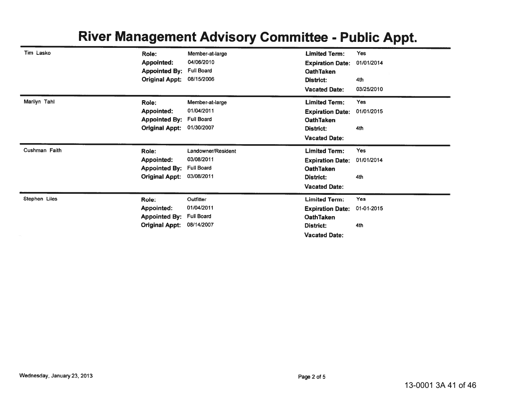## River Management Advisory Committee - Public Appt.

| Tim Lasko     | Role:<br><b>Appointed:</b><br><b>Appointed By:</b>                          | Member-at-large<br>04/06/2010<br><b>Full Board</b>               | <b>Limited Term:</b><br><b>Expiration Date:</b><br><b>OathTaken</b>                                      | <b>Yes</b><br>01/01/2014        |
|---------------|-----------------------------------------------------------------------------|------------------------------------------------------------------|----------------------------------------------------------------------------------------------------------|---------------------------------|
|               | <b>Original Appt:</b>                                                       | 08/15/2006                                                       | District:<br><b>Vacated Date:</b>                                                                        | 4th<br>03/25/2010               |
| Marilyn Tahl  | Role:<br><b>Appointed:</b><br><b>Appointed By:</b><br><b>Original Appt:</b> | Member-at-large<br>01/04/2011<br><b>Full Board</b><br>01/30/2007 | <b>Limited Term:</b><br><b>Expiration Date:</b><br><b>OathTaken</b><br>District:<br><b>Vacated Date:</b> | <b>Yes</b><br>01/01/2015<br>4th |
| Cushman Faith | Role:                                                                       | Landowner/Resident                                               | <b>Limited Term:</b>                                                                                     | Yes                             |
|               | <b>Appointed:</b><br><b>Appointed By:</b><br><b>Original Appt:</b>          | 03/08/2011<br><b>Full Board</b><br>03/08/2011                    | <b>Expiration Date:</b><br><b>OathTaken</b><br><b>District:</b><br><b>Vacated Date:</b>                  | 01/01/2014<br>4th               |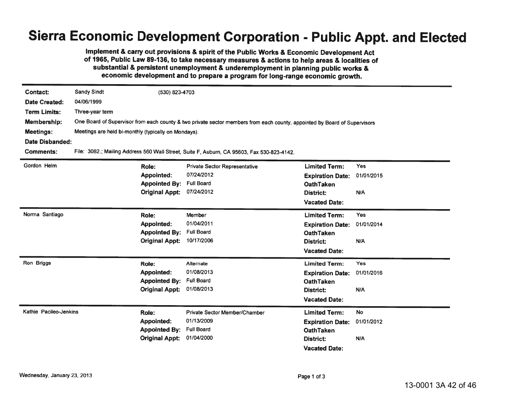## Sierra Economic Development Corporation - Public Appt. and Elected

Implement & carry out provisions & spirit of the Public Works & Economic Development Act of 1965, Public Law 89-136, to take necessary measures & actions to help areas & localities of substantial & persistent unemployment & underemployment in planning public works & economic development and to prepare a program for long-range economic growth.

| Contact:               | <b>Sandy Sindt</b>                                                                                                        | (530) 823-4703        |                                                                                            |                         |            |  |  |
|------------------------|---------------------------------------------------------------------------------------------------------------------------|-----------------------|--------------------------------------------------------------------------------------------|-------------------------|------------|--|--|
| <b>Date Created:</b>   | 04/06/1999                                                                                                                |                       |                                                                                            |                         |            |  |  |
| <b>Term Limits:</b>    | Three-year term                                                                                                           |                       |                                                                                            |                         |            |  |  |
|                        |                                                                                                                           |                       |                                                                                            |                         |            |  |  |
| <b>Membership:</b>     | One Board of Supervisor from each county & two private sector members from each county, appointed by Board of Supervisors |                       |                                                                                            |                         |            |  |  |
| <b>Meetings:</b>       | Meetings are held bi-monthly (typically on Mondays).                                                                      |                       |                                                                                            |                         |            |  |  |
|                        | <b>Date Disbanded:</b>                                                                                                    |                       |                                                                                            |                         |            |  |  |
| <b>Comments:</b>       |                                                                                                                           |                       | File: 3082.; Mailing Address 560 Wall Street, Suite F, Auburn, CA 95603, Fax 530-823-4142. |                         |            |  |  |
| Gordon Helm            |                                                                                                                           | Role:                 | <b>Private Sector Representative</b>                                                       | <b>Limited Term:</b>    | Yes        |  |  |
|                        |                                                                                                                           | <b>Appointed:</b>     | 07/24/2012                                                                                 | <b>Expiration Date:</b> | 01/01/2015 |  |  |
|                        |                                                                                                                           | <b>Appointed By:</b>  | <b>Full Board</b>                                                                          | <b>OathTaken</b>        |            |  |  |
|                        |                                                                                                                           | <b>Original Appt:</b> | 07/24/2012                                                                                 | District:               | N/A        |  |  |
|                        |                                                                                                                           |                       |                                                                                            | <b>Vacated Date:</b>    |            |  |  |
| Norma Santiago         |                                                                                                                           | Role:                 | Member                                                                                     | <b>Limited Term:</b>    | Yes        |  |  |
|                        |                                                                                                                           | Appointed:            | 01/04/2011                                                                                 | <b>Expiration Date:</b> | 01/01/2014 |  |  |
|                        |                                                                                                                           | <b>Appointed By:</b>  | <b>Full Board</b>                                                                          | <b>OathTaken</b>        |            |  |  |
|                        |                                                                                                                           | <b>Original Appt:</b> | 10/17/2006                                                                                 | District:               | N/A        |  |  |
|                        |                                                                                                                           |                       |                                                                                            | <b>Vacated Date:</b>    |            |  |  |
| Ron Briggs             |                                                                                                                           | Role:                 | Alternate                                                                                  | <b>Limited Term:</b>    | <b>Yes</b> |  |  |
|                        |                                                                                                                           | <b>Appointed:</b>     | 01/08/2013                                                                                 | <b>Expiration Date:</b> | 01/01/2016 |  |  |
|                        |                                                                                                                           | <b>Appointed By:</b>  | <b>Full Board</b>                                                                          | <b>OathTaken</b>        |            |  |  |
|                        |                                                                                                                           | <b>Original Appt:</b> | 01/08/2013                                                                                 | District:               | N/A        |  |  |
|                        |                                                                                                                           |                       |                                                                                            | <b>Vacated Date:</b>    |            |  |  |
| Kathie Pacileo-Jenkins |                                                                                                                           | Role:                 | Private Sector Member/Chamber                                                              | <b>Limited Term:</b>    | <b>No</b>  |  |  |
|                        |                                                                                                                           | <b>Appointed:</b>     | 01/13/2009                                                                                 | <b>Expiration Date:</b> | 01/01/2012 |  |  |
|                        |                                                                                                                           | <b>Appointed By:</b>  | <b>Full Board</b>                                                                          | <b>OathTaken</b>        |            |  |  |
|                        |                                                                                                                           | <b>Original Appt:</b> | 01/04/2000                                                                                 | <b>District:</b>        | N/A        |  |  |
|                        |                                                                                                                           |                       |                                                                                            | <b>Vacated Date:</b>    |            |  |  |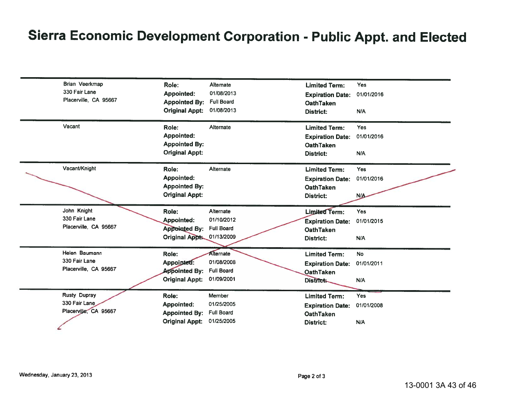# Sierra Economic Development Corporation - Public Appt. and Elected

| Brian Veerkmap        | Role:                 | Alternate         | <b>Limited Term:</b>    | Yes        |
|-----------------------|-----------------------|-------------------|-------------------------|------------|
| 330 Fair Lane         | <b>Appointed:</b>     | 01/08/2013        | <b>Expiration Date:</b> | 01/01/2016 |
| Placerville, CA 95667 | <b>Appointed By:</b>  | <b>Full Board</b> | <b>OathTaken</b>        |            |
|                       | <b>Original Appt:</b> | 01/08/2013        | <b>District:</b>        | N/A        |
| Vacant                | Role:                 | Alternate         | <b>Limited Term:</b>    | Yes        |
|                       | <b>Appointed:</b>     |                   | <b>Expiration Date:</b> | 01/01/2016 |
|                       | <b>Appointed By:</b>  |                   | <b>OathTaken</b>        |            |
|                       | <b>Original Appt:</b> |                   | <b>District:</b>        | N/A        |
| Vacant/Knight         | Role:                 | Alternate         | <b>Limited Term:</b>    | Yes        |
|                       | <b>Appointed:</b>     |                   | <b>Expiration Date:</b> | 01/01/2016 |
|                       | <b>Appointed By:</b>  |                   | <b>OathTaken</b>        |            |
|                       | <b>Original Appt:</b> |                   | <b>District:</b>        | N/A        |
| John Knight           | Role:                 | Alternate         | <b>Limited Term:</b>    | Yes        |
| 330 Fair Lane         | <b>Appointed:</b>     | 01/10/2012        | <b>Expiration Date:</b> | 01/01/2015 |
| Placerville, CA 95667 | <b>Appointed By:</b>  | <b>Full Board</b> | <b>OathTaken</b>        |            |
|                       | Original Appt.        | 01/13/2009        | <b>District:</b>        | N/A        |
| Helen Baumann         | Role:                 | Alternate         | <b>Limited Term:</b>    | <b>No</b>  |
| 330 Fair Lane         | Appointed:            | 01/08/2008        | <b>Expiration Date:</b> | 01/01/2011 |
| Placerville, CA 95667 | <b>Appointed By:</b>  | <b>Full Board</b> | <b>OathTaken</b>        |            |
|                       | <b>Original Appt:</b> | 01/09/2001        | District:               | N/A        |
| Rusty Dupray          | Role:                 | Member            | <b>Limited Term:</b>    | Yes        |
| 330 Fair Lane         | Appointed:            | 01/25/2005        | <b>Expiration Date:</b> | 01/01/2008 |
| Placerville, CA 95667 | <b>Appointed By:</b>  | <b>Full Board</b> | <b>OathTaken</b>        |            |
|                       | <b>Original Appt:</b> | 01/25/2005        | District:               | N/A        |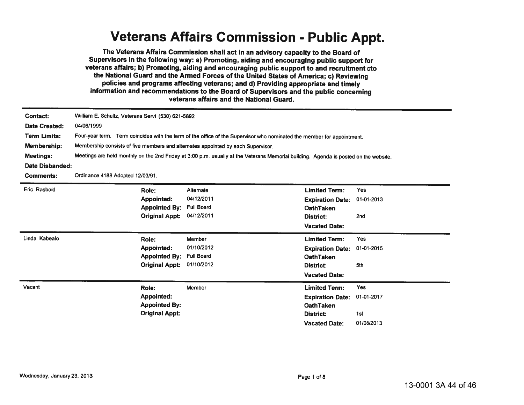#### **Veterans Affairs Commission - Public Appt.**

The Veterans Affairs Commission shall act in an advisory capacity to the Board of Supervisors in the following way: a) Promoting, aiding and encouraging public support for veterans affairs; b) Promoting, aiding and encouraging public support to and recruitment cto the National Guard and the Armed Forces of the United States of America; c) Reviewing policies and programs affecting veterans; and d) Providing appropriate and timely information and recommendations to the Board of Supervisors and the public concerning veterans affairs and the National Guard.

| Contact:<br>Date Created:<br><b>Term Limits:</b><br>Membership:<br><b>Meetings:</b><br>Date Disbanded:<br><b>Comments:</b> | William E. Schultz, Veterans Servi (530) 621-5892<br>04/06/1999<br>Four-year term. Term coincides with the term of the office of the Supervisor who nominated the member for appointment.<br>Membership consists of five members and alternates appointed by each Supervisor.<br>Meetings are held monthly on the 2nd Friday at 3:00 p.m. usually at the Veterans Memorial building. Agenda is posted on the website.<br>Ordinance 4188 Adopted 12/03/91. |                                                            |                                                                                                          |                                        |  |  |
|----------------------------------------------------------------------------------------------------------------------------|-----------------------------------------------------------------------------------------------------------------------------------------------------------------------------------------------------------------------------------------------------------------------------------------------------------------------------------------------------------------------------------------------------------------------------------------------------------|------------------------------------------------------------|----------------------------------------------------------------------------------------------------------|----------------------------------------|--|--|
| Eric Rasbold                                                                                                               | Role:<br>Appointed:<br><b>Appointed By:</b><br><b>Original Appt:</b>                                                                                                                                                                                                                                                                                                                                                                                      | Alternate<br>04/12/2011<br><b>Full Board</b><br>04/12/2011 | <b>Limited Term:</b><br><b>Expiration Date:</b><br><b>OathTaken</b><br>District:<br><b>Vacated Date:</b> | Yes<br>01-01-2013<br>2nd               |  |  |
| Linda Kabealo                                                                                                              | Role:<br>Appointed:<br><b>Appointed By:</b><br><b>Original Appt:</b>                                                                                                                                                                                                                                                                                                                                                                                      | Member<br>01/10/2012<br><b>Full Board</b><br>01/10/2012    | <b>Limited Term:</b><br><b>Expiration Date:</b><br><b>OathTaken</b><br>District:<br><b>Vacated Date:</b> | Yes<br>01-01-2015<br>5th               |  |  |
| Vacant                                                                                                                     | Role:<br>Appointed:<br><b>Appointed By:</b><br><b>Original Appt:</b>                                                                                                                                                                                                                                                                                                                                                                                      | Member                                                     | <b>Limited Term:</b><br><b>Expiration Date:</b><br><b>OathTaken</b><br>District:<br><b>Vacated Date:</b> | Yes<br>01-01-2017<br>1st<br>01/08/2013 |  |  |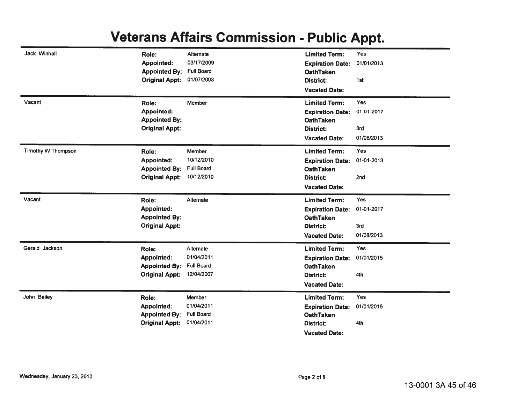#### **Veterans Affairs Commission - Public Appt.**

| Jack Winhall              | Role:                 | Alternate         | <b>Limited Term:</b>    | Yes        |
|---------------------------|-----------------------|-------------------|-------------------------|------------|
|                           | <b>Appointed:</b>     | 03/17/2009        | <b>Expiration Date:</b> | 01/01/2013 |
|                           | <b>Appointed By:</b>  | <b>Full Board</b> | <b>OathTaken</b>        |            |
|                           | <b>Original Appt:</b> | 01/07/2003        | District:               | 1st        |
|                           |                       |                   | <b>Vacated Date:</b>    |            |
| Vacant                    | Role:                 | Member            | <b>Limited Term:</b>    | <b>Yes</b> |
|                           | Appointed:            |                   | <b>Expiration Date:</b> | 01-01-2017 |
|                           | <b>Appointed By:</b>  |                   | <b>OathTaken</b>        |            |
|                           | <b>Original Appt:</b> |                   | District:               | 3rd        |
|                           |                       |                   | <b>Vacated Date:</b>    | 01/08/2013 |
| <b>Timothy W Thompson</b> | Role:                 | Member            | <b>Limited Term:</b>    | Yes        |
|                           | <b>Appointed:</b>     | 10/12/2010        | <b>Expiration Date:</b> | 01-01-2013 |
|                           | <b>Appointed By:</b>  | <b>Full Board</b> | <b>OathTaken</b>        |            |
|                           | <b>Original Appt:</b> | 10/12/2010        | <b>District:</b>        | 2nd        |
|                           |                       |                   | <b>Vacated Date:</b>    |            |
| Vacant                    | Role:                 | Alternate         | <b>Limited Term:</b>    | Yes        |
|                           |                       |                   |                         |            |
|                           | Appointed:            |                   | <b>Expiration Date:</b> | 01-01-2017 |
|                           | <b>Appointed By:</b>  |                   | <b>OathTaken</b>        |            |
|                           | <b>Original Appt:</b> |                   | <b>District:</b>        | 3rd        |
|                           |                       |                   | <b>Vacated Date:</b>    | 01/08/2013 |
| Gerald Jackson            | Role:                 | Alternate         | <b>Limited Term:</b>    | <b>Yes</b> |
|                           | Appointed:            | 01/04/2011        | <b>Expiration Date:</b> | 01/01/2015 |
|                           | <b>Appointed By:</b>  | <b>Full Board</b> | <b>OathTaken</b>        |            |
|                           | <b>Original Appt:</b> | 12/04/2007        | District:               | 4th        |
|                           |                       |                   | <b>Vacated Date:</b>    |            |
| John Bailey               | Role:                 | Member            | <b>Limited Term:</b>    | Yes        |
|                           | <b>Appointed:</b>     | 01/04/2011        | <b>Expiration Date:</b> | 01/01/2015 |
|                           | <b>Appointed By:</b>  | <b>Full Board</b> | <b>OathTaken</b>        |            |
|                           | <b>Original Appt:</b> | 01/04/2011        | <b>District:</b>        | 4th        |